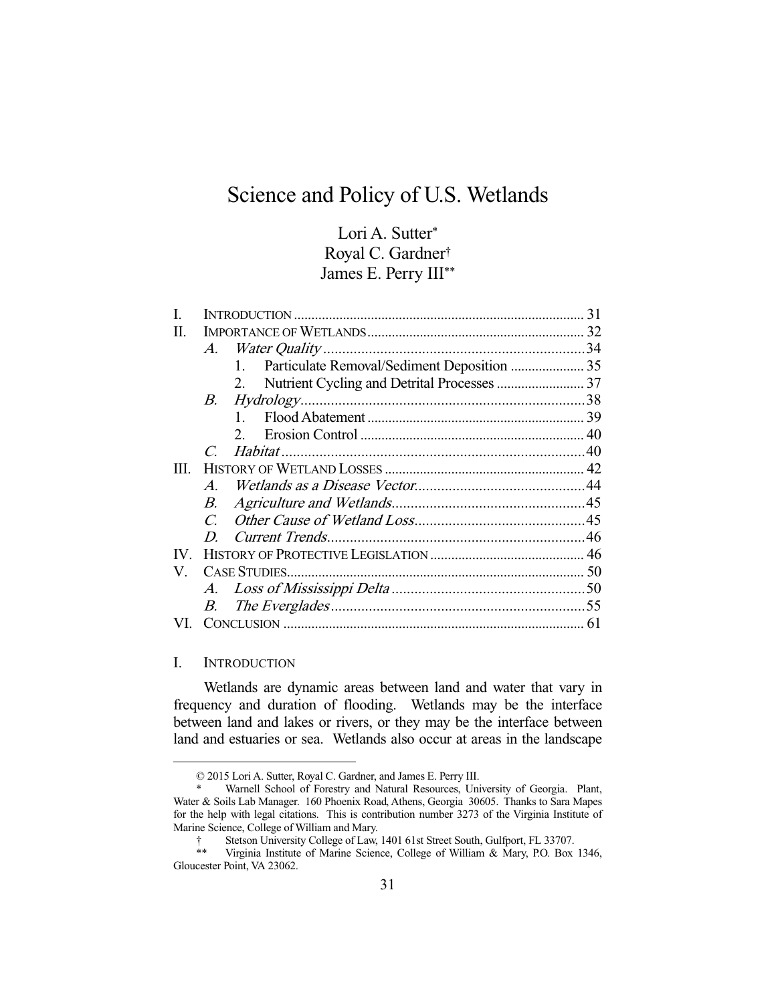# Science and Policy of U.S. Wetlands

# Lori A. Sutter\* Royal C. Gardner† James E. Perry III\*\*

|      |                  |              | 31 |
|------|------------------|--------------|----|
| П.   |                  |              |    |
|      |                  |              |    |
|      |                  | 1.           |    |
|      |                  | 2.           |    |
|      | B.               |              |    |
|      |                  | $\mathbf{1}$ |    |
|      |                  |              |    |
|      | $\overline{C}$   |              |    |
| III. |                  |              |    |
|      | $A_{\cdot}$      |              |    |
|      | В.               |              |    |
|      | $\mathcal{C}$    |              |    |
|      | $\boldsymbol{D}$ |              |    |
| IV.  |                  |              |    |
| V.   |                  |              |    |
|      |                  |              |    |
|      | В.               |              |    |
|      |                  |              |    |

# I. INTRODUCTION

-

 Wetlands are dynamic areas between land and water that vary in frequency and duration of flooding. Wetlands may be the interface between land and lakes or rivers, or they may be the interface between land and estuaries or sea. Wetlands also occur at areas in the landscape

 <sup>© 2015</sup> Lori A. Sutter, Royal C. Gardner, and James E. Perry III.

Warnell School of Forestry and Natural Resources, University of Georgia. Plant, Water & Soils Lab Manager. 160 Phoenix Road, Athens, Georgia 30605. Thanks to Sara Mapes for the help with legal citations. This is contribution number 3273 of the Virginia Institute of Marine Science, College of William and Mary.

 <sup>†</sup> Stetson University College of Law, 1401 61st Street South, Gulfport, FL 33707.

Virginia Institute of Marine Science, College of William & Mary, P.O. Box 1346, Gloucester Point, VA 23062.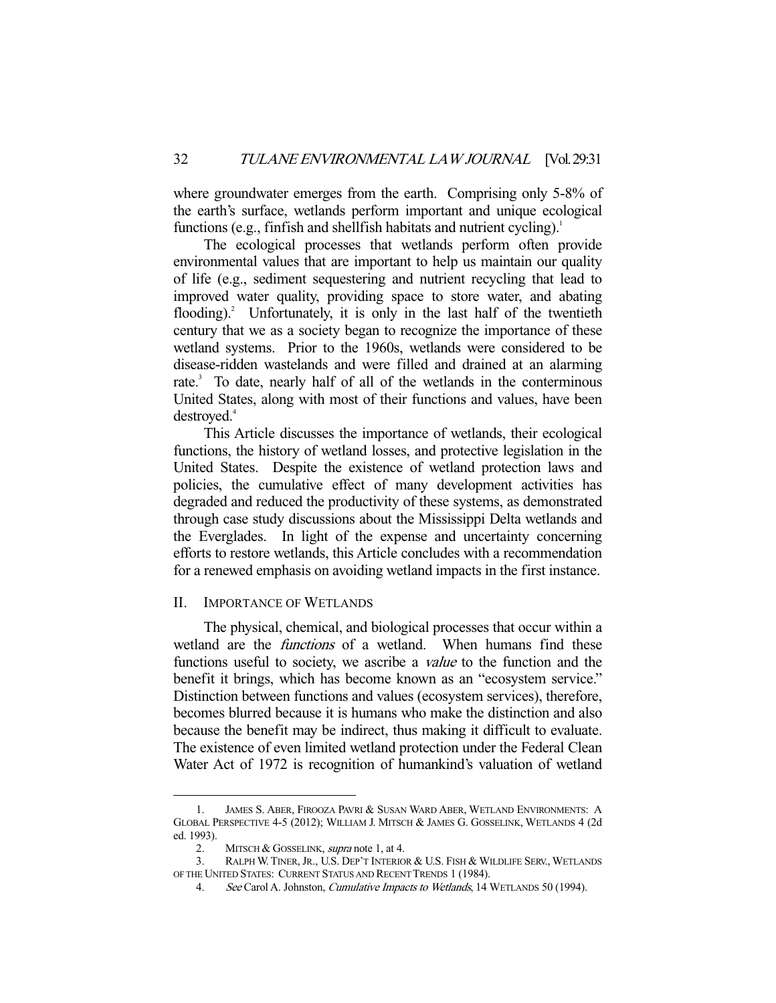where groundwater emerges from the earth. Comprising only 5-8% of the earth's surface, wetlands perform important and unique ecological functions (e.g., finfish and shellfish habitats and nutrient cycling).<sup>1</sup>

 The ecological processes that wetlands perform often provide environmental values that are important to help us maintain our quality of life (e.g., sediment sequestering and nutrient recycling that lead to improved water quality, providing space to store water, and abating flooding).<sup>2</sup> Unfortunately, it is only in the last half of the twentieth century that we as a society began to recognize the importance of these wetland systems. Prior to the 1960s, wetlands were considered to be disease-ridden wastelands and were filled and drained at an alarming rate.<sup>3</sup> To date, nearly half of all of the wetlands in the conterminous United States, along with most of their functions and values, have been destroyed.<sup>4</sup>

 This Article discusses the importance of wetlands, their ecological functions, the history of wetland losses, and protective legislation in the United States. Despite the existence of wetland protection laws and policies, the cumulative effect of many development activities has degraded and reduced the productivity of these systems, as demonstrated through case study discussions about the Mississippi Delta wetlands and the Everglades. In light of the expense and uncertainty concerning efforts to restore wetlands, this Article concludes with a recommendation for a renewed emphasis on avoiding wetland impacts in the first instance.

#### II. IMPORTANCE OF WETLANDS

 The physical, chemical, and biological processes that occur within a wetland are the *functions* of a wetland. When humans find these functions useful to society, we ascribe a value to the function and the benefit it brings, which has become known as an "ecosystem service." Distinction between functions and values (ecosystem services), therefore, becomes blurred because it is humans who make the distinction and also because the benefit may be indirect, thus making it difficult to evaluate. The existence of even limited wetland protection under the Federal Clean Water Act of 1972 is recognition of humankind's valuation of wetland

 <sup>1.</sup> JAMES S. ABER, FIROOZA PAVRI & SUSAN WARD ABER, WETLAND ENVIRONMENTS: A GLOBAL PERSPECTIVE 4-5 (2012); WILLIAM J. MITSCH & JAMES G. GOSSELINK, WETLANDS 4 (2d ed. 1993).

<sup>2.</sup> MITSCH & GOSSELINK, supra note 1, at 4.

 <sup>3.</sup> RALPH W.TINER,JR., U.S. DEP'T INTERIOR & U.S. FISH & WILDLIFE SERV., WETLANDS OF THE UNITED STATES: CURRENT STATUS AND RECENT TRENDS 1 (1984).

<sup>4.</sup> See Carol A. Johnston, *Cumulative Impacts to Wetlands*, 14 WETLANDS 50 (1994).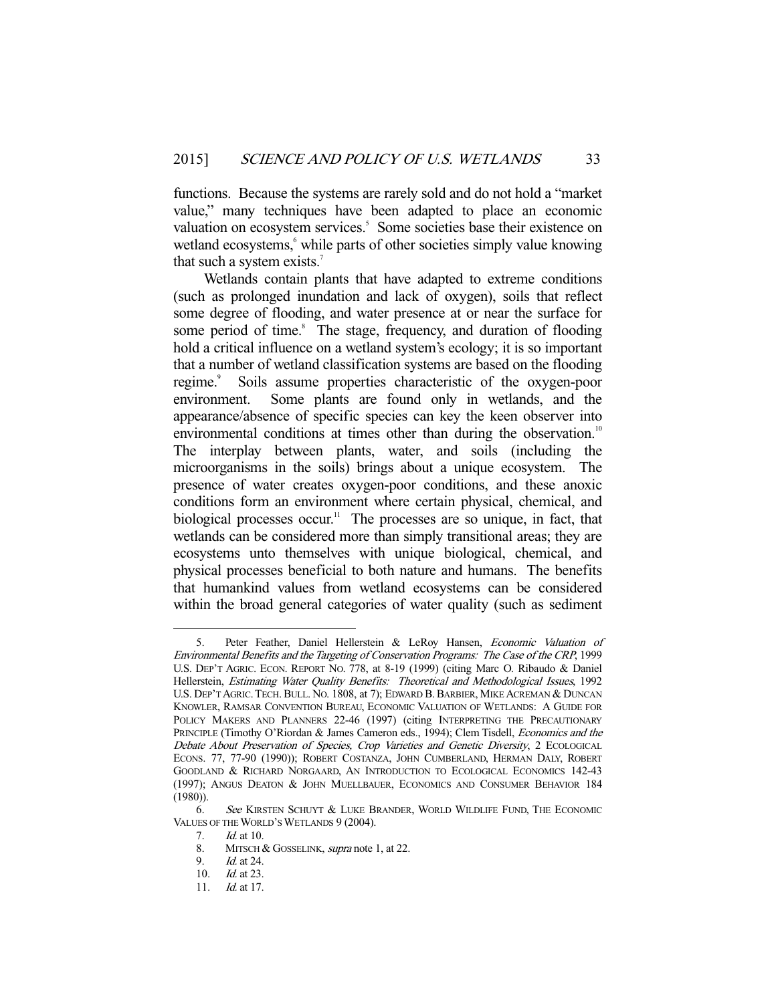functions. Because the systems are rarely sold and do not hold a "market value," many techniques have been adapted to place an economic valuation on ecosystem services.<sup>5</sup> Some societies base their existence on wetland ecosystems,<sup>6</sup> while parts of other societies simply value knowing that such a system exists.<sup>7</sup>

 Wetlands contain plants that have adapted to extreme conditions (such as prolonged inundation and lack of oxygen), soils that reflect some degree of flooding, and water presence at or near the surface for some period of time.<sup>8</sup> The stage, frequency, and duration of flooding hold a critical influence on a wetland system's ecology; it is so important that a number of wetland classification systems are based on the flooding regime.<sup>9</sup> Soils assume properties characteristic of the oxygen-poor environment. Some plants are found only in wetlands, and the appearance/absence of specific species can key the keen observer into environmental conditions at times other than during the observation.<sup>10</sup> The interplay between plants, water, and soils (including the microorganisms in the soils) brings about a unique ecosystem. The presence of water creates oxygen-poor conditions, and these anoxic conditions form an environment where certain physical, chemical, and biological processes occur.<sup>11</sup> The processes are so unique, in fact, that wetlands can be considered more than simply transitional areas; they are ecosystems unto themselves with unique biological, chemical, and physical processes beneficial to both nature and humans. The benefits that humankind values from wetland ecosystems can be considered within the broad general categories of water quality (such as sediment

 <sup>5.</sup> Peter Feather, Daniel Hellerstein & LeRoy Hansen, Economic Valuation of Environmental Benefits and the Targeting of Conservation Programs: The Case of the CRP, 1999 U.S. DEP'T AGRIC. ECON. REPORT NO. 778, at 8-19 (1999) (citing Marc O. Ribaudo & Daniel Hellerstein, Estimating Water Quality Benefits: Theoretical and Methodological Issues, 1992 U.S. DEP'T AGRIC.TECH. BULL. NO. 1808, at 7); EDWARD B. BARBIER, MIKE ACREMAN & DUNCAN KNOWLER, RAMSAR CONVENTION BUREAU, ECONOMIC VALUATION OF WETLANDS: A GUIDE FOR POLICY MAKERS AND PLANNERS 22-46 (1997) (citing INTERPRETING THE PRECAUTIONARY PRINCIPLE (Timothy O'Riordan & James Cameron eds., 1994); Clem Tisdell, Economics and the Debate About Preservation of Species, Crop Varieties and Genetic Diversity, 2 ECOLOGICAL ECONS. 77, 77-90 (1990)); ROBERT COSTANZA, JOHN CUMBERLAND, HERMAN DALY, ROBERT GOODLAND & RICHARD NORGAARD, AN INTRODUCTION TO ECOLOGICAL ECONOMICS 142-43 (1997); ANGUS DEATON & JOHN MUELLBAUER, ECONOMICS AND CONSUMER BEHAVIOR 184 (1980)).

 <sup>6.</sup> See KIRSTEN SCHUYT & LUKE BRANDER, WORLD WILDLIFE FUND, THE ECONOMIC VALUES OF THE WORLD'S WETLANDS 9 (2004).

 <sup>7.</sup> Id. at 10.

<sup>8.</sup> MITSCH & GOSSELINK, supra note 1, at 22.

 <sup>9.</sup> Id. at 24.

 <sup>10.</sup> Id. at 23.

 <sup>11.</sup> Id. at 17.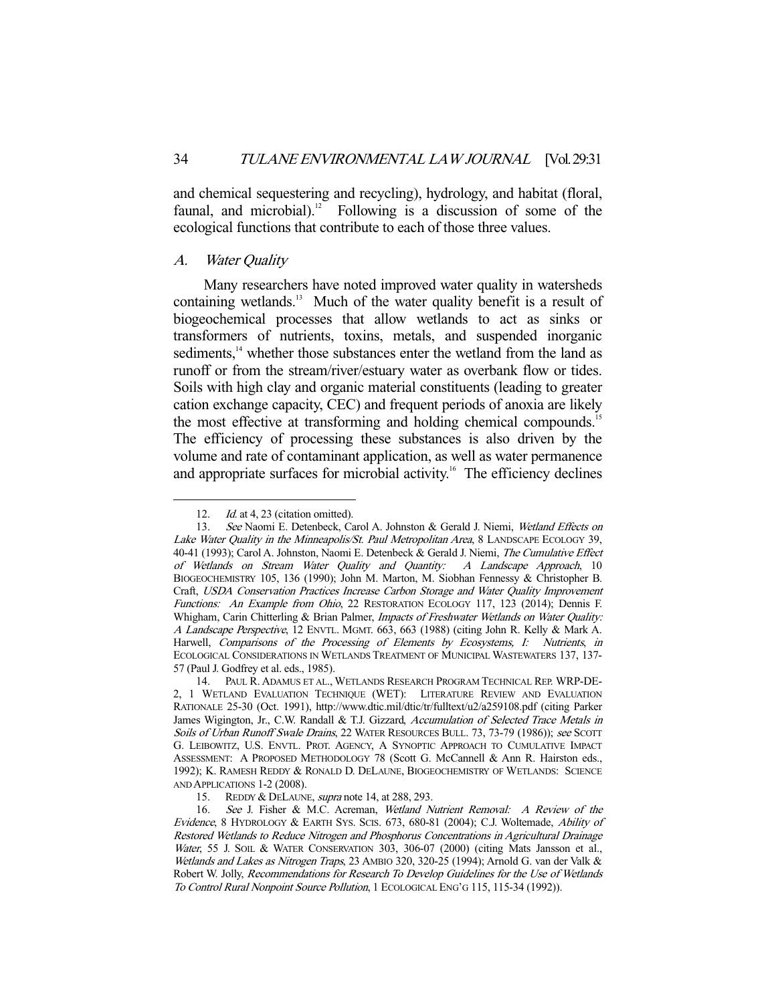and chemical sequestering and recycling), hydrology, and habitat (floral, faunal, and microbial).<sup>12</sup> Following is a discussion of some of the ecological functions that contribute to each of those three values.

# A. Water Quality

 Many researchers have noted improved water quality in watersheds containing wetlands.<sup>13</sup> Much of the water quality benefit is a result of biogeochemical processes that allow wetlands to act as sinks or transformers of nutrients, toxins, metals, and suspended inorganic sediments,<sup>14</sup> whether those substances enter the wetland from the land as runoff or from the stream/river/estuary water as overbank flow or tides. Soils with high clay and organic material constituents (leading to greater cation exchange capacity, CEC) and frequent periods of anoxia are likely the most effective at transforming and holding chemical compounds.<sup>15</sup> The efficiency of processing these substances is also driven by the volume and rate of contaminant application, as well as water permanence and appropriate surfaces for microbial activity.<sup>16</sup> The efficiency declines

<sup>12.</sup> *Id.* at 4, 23 (citation omitted).

<sup>13.</sup> See Naomi E. Detenbeck, Carol A. Johnston & Gerald J. Niemi, Wetland Effects on Lake Water Quality in the Minneapolis/St. Paul Metropolitan Area, 8 LANDSCAPE ECOLOGY 39, 40-41 (1993); Carol A. Johnston, Naomi E. Detenbeck & Gerald J. Niemi, The Cumulative Effect of Wetlands on Stream Water Quality and Quantity: A Landscape Approach, 10 BIOGEOCHEMISTRY 105, 136 (1990); John M. Marton, M. Siobhan Fennessy & Christopher B. Craft, USDA Conservation Practices Increase Carbon Storage and Water Quality Improvement Functions: An Example from Ohio, 22 RESTORATION ECOLOGY 117, 123 (2014); Dennis F. Whigham, Carin Chitterling & Brian Palmer, *Impacts of Freshwater Wetlands on Water Quality:* A Landscape Perspective, 12 ENVTL. MGMT. 663, 663 (1988) (citing John R. Kelly & Mark A. Harwell, Comparisons of the Processing of Elements by Ecosystems, I: Nutrients, in ECOLOGICAL CONSIDERATIONS IN WETLANDS TREATMENT OF MUNICIPAL WASTEWATERS 137, 137- 57 (Paul J. Godfrey et al. eds., 1985).

 <sup>14.</sup> PAUL R. ADAMUS ET AL., WETLANDS RESEARCH PROGRAM TECHNICAL REP. WRP-DE-2, 1 WETLAND EVALUATION TECHNIQUE (WET): LITERATURE REVIEW AND EVALUATION RATIONALE 25-30 (Oct. 1991), http://www.dtic.mil/dtic/tr/fulltext/u2/a259108.pdf (citing Parker James Wigington, Jr., C.W. Randall & T.J. Gizzard, Accumulation of Selected Trace Metals in Soils of Urban Runoff Swale Drains, 22 WATER RESOURCES BULL. 73, 73-79 (1986)); see SCOTT G. LEIBOWITZ, U.S. ENVTL. PROT. AGENCY, A SYNOPTIC APPROACH TO CUMULATIVE IMPACT ASSESSMENT: A PROPOSED METHODOLOGY 78 (Scott G. McCannell & Ann R. Hairston eds., 1992); K. RAMESH REDDY & RONALD D. DELAUNE, BIOGEOCHEMISTRY OF WETLANDS: SCIENCE AND APPLICATIONS 1-2 (2008).

<sup>15.</sup> REDDY & DELAUNE, *supra* note 14, at 288, 293.

 <sup>16.</sup> See J. Fisher & M.C. Acreman, Wetland Nutrient Removal: A Review of the Evidence, 8 HYDROLOGY & EARTH SYS. SCIS. 673, 680-81 (2004); C.J. Woltemade, Ability of Restored Wetlands to Reduce Nitrogen and Phosphorus Concentrations in Agricultural Drainage Water, 55 J. SOIL & WATER CONSERVATION 303, 306-07 (2000) (citing Mats Jansson et al., Wetlands and Lakes as Nitrogen Traps, 23 AMBIO 320, 320-25 (1994); Arnold G. van der Valk & Robert W. Jolly, Recommendations for Research To Develop Guidelines for the Use of Wetlands To Control Rural Nonpoint Source Pollution, 1 ECOLOGICAL ENG'G 115, 115-34 (1992)).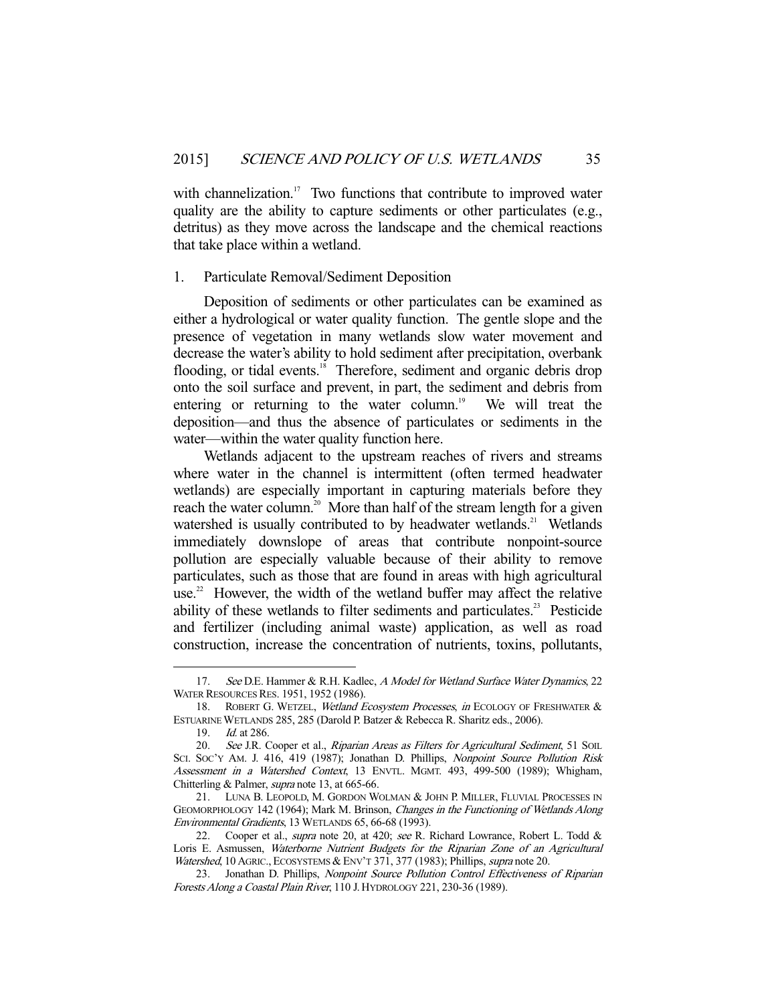with channelization.<sup>17</sup> Two functions that contribute to improved water quality are the ability to capture sediments or other particulates (e.g., detritus) as they move across the landscape and the chemical reactions that take place within a wetland.

#### 1. Particulate Removal/Sediment Deposition

 Deposition of sediments or other particulates can be examined as either a hydrological or water quality function. The gentle slope and the presence of vegetation in many wetlands slow water movement and decrease the water's ability to hold sediment after precipitation, overbank flooding, or tidal events.<sup>18</sup> Therefore, sediment and organic debris drop onto the soil surface and prevent, in part, the sediment and debris from entering or returning to the water column.<sup>19</sup> We will treat the deposition—and thus the absence of particulates or sediments in the water—within the water quality function here.

 Wetlands adjacent to the upstream reaches of rivers and streams where water in the channel is intermittent (often termed headwater wetlands) are especially important in capturing materials before they reach the water column.<sup>20</sup> More than half of the stream length for a given watershed is usually contributed to by headwater wetlands.<sup>21</sup> Wetlands immediately downslope of areas that contribute nonpoint-source pollution are especially valuable because of their ability to remove particulates, such as those that are found in areas with high agricultural use.<sup>22</sup> However, the width of the wetland buffer may affect the relative ability of these wetlands to filter sediments and particulates.<sup>23</sup> Pesticide and fertilizer (including animal waste) application, as well as road construction, increase the concentration of nutrients, toxins, pollutants,

<sup>17.</sup> See D.E. Hammer & R.H. Kadlec, A Model for Wetland Surface Water Dynamics, 22 WATER RESOURCES RES. 1951, 1952 (1986).

<sup>18.</sup> ROBERT G. WETZEL, Wetland Ecosystem Processes, in ECOLOGY OF FRESHWATER & ESTUARINE WETLANDS 285, 285 (Darold P. Batzer & Rebecca R. Sharitz eds., 2006).

 <sup>19.</sup> Id. at 286.

<sup>20.</sup> See J.R. Cooper et al., Riparian Areas as Filters for Agricultural Sediment, 51 SOIL SCI. Soc'y AM. J. 416, 419 (1987); Jonathan D. Phillips, Nonpoint Source Pollution Risk Assessment in a Watershed Context, 13 ENVTL. MGMT. 493, 499-500 (1989); Whigham, Chitterling & Palmer, supra note 13, at 665-66.

 <sup>21.</sup> LUNA B. LEOPOLD, M. GORDON WOLMAN & JOHN P. MILLER, FLUVIAL PROCESSES IN GEOMORPHOLOGY 142 (1964); Mark M. Brinson, Changes in the Functioning of Wetlands Along Environmental Gradients, 13 WETLANDS 65, 66-68 (1993).

<sup>22.</sup> Cooper et al., *supra* note 20, at 420; see R. Richard Lowrance, Robert L. Todd & Loris E. Asmussen, Waterborne Nutrient Budgets for the Riparian Zone of an Agricultural Watershed, 10 AGRIC., ECOSYSTEMS & ENV'T 371, 377 (1983); Phillips, supra note 20.

<sup>23.</sup> Jonathan D. Phillips, Nonpoint Source Pollution Control Effectiveness of Riparian Forests Along a Coastal Plain River, 110 J. HYDROLOGY 221, 230-36 (1989).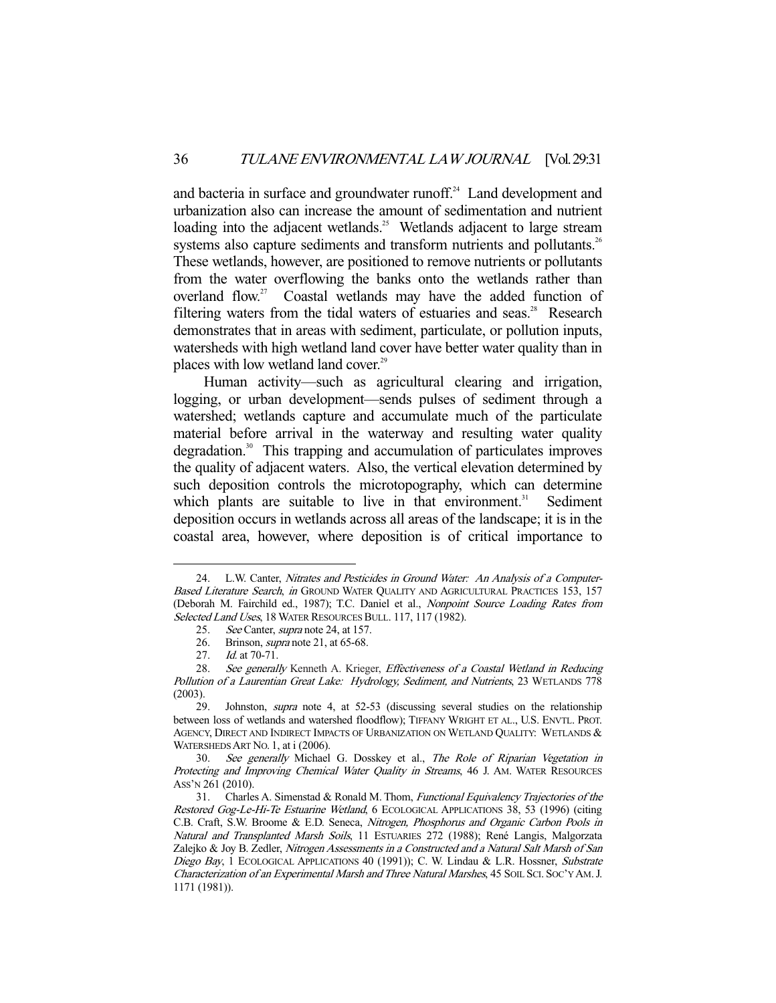and bacteria in surface and groundwater runoff.<sup>24</sup> Land development and urbanization also can increase the amount of sedimentation and nutrient loading into the adjacent wetlands.<sup>25</sup> Wetlands adjacent to large stream systems also capture sediments and transform nutrients and pollutants.<sup>26</sup> These wetlands, however, are positioned to remove nutrients or pollutants from the water overflowing the banks onto the wetlands rather than overland flow.<sup>27</sup> Coastal wetlands may have the added function of filtering waters from the tidal waters of estuaries and seas. $28$  Research demonstrates that in areas with sediment, particulate, or pollution inputs, watersheds with high wetland land cover have better water quality than in places with low wetland land cover.<sup>29</sup>

 Human activity—such as agricultural clearing and irrigation, logging, or urban development—sends pulses of sediment through a watershed; wetlands capture and accumulate much of the particulate material before arrival in the waterway and resulting water quality degradation.30 This trapping and accumulation of particulates improves the quality of adjacent waters. Also, the vertical elevation determined by such deposition controls the microtopography, which can determine which plants are suitable to live in that environment.<sup>31</sup> Sediment deposition occurs in wetlands across all areas of the landscape; it is in the coastal area, however, where deposition is of critical importance to

 <sup>24.</sup> L.W. Canter, Nitrates and Pesticides in Ground Water: An Analysis of a Computer-Based Literature Search, in GROUND WATER QUALITY AND AGRICULTURAL PRACTICES 153, 157 (Deborah M. Fairchild ed., 1987); T.C. Daniel et al., Nonpoint Source Loading Rates from Selected Land Uses, 18 WATER RESOURCES BULL. 117, 117 (1982).

<sup>25.</sup> See Canter, *supra* note 24, at 157.

<sup>26.</sup> Brinson, *supra* note 21, at 65-68.<br>27. *Id.* at 70-71.

*Id.* at 70-71.

<sup>28.</sup> See generally Kenneth A. Krieger, *Effectiveness of a Coastal Wetland in Reducing* Pollution of a Laurentian Great Lake: Hydrology, Sediment, and Nutrients, 23 WETLANDS 778 (2003).

 <sup>29.</sup> Johnston, supra note 4, at 52-53 (discussing several studies on the relationship between loss of wetlands and watershed floodflow); TIFFANY WRIGHT ET AL., U.S. ENVTL. PROT. AGENCY, DIRECT AND INDIRECT IMPACTS OF URBANIZATION ON WETLAND QUALITY: WETLANDS  $\&$ WATERSHEDS ART NO. 1, at i (2006).

<sup>30.</sup> See generally Michael G. Dosskey et al., The Role of Riparian Vegetation in Protecting and Improving Chemical Water Quality in Streams, 46 J. AM. WATER RESOURCES ASS'N 261 (2010).

 <sup>31.</sup> Charles A. Simenstad & Ronald M. Thom, Functional Equivalency Trajectories of the Restored Gog-Le-Hi-Te Estuarine Wetland, 6 ECOLOGICAL APPLICATIONS 38, 53 (1996) (citing C.B. Craft, S.W. Broome & E.D. Seneca, Nitrogen, Phosphorus and Organic Carbon Pools in Natural and Transplanted Marsh Soils, 11 ESTUARIES 272 (1988); René Langis, Malgorzata Zalejko & Joy B. Zedler, Nitrogen Assessments in a Constructed and a Natural Salt Marsh of San Diego Bay, 1 ECOLOGICAL APPLICATIONS 40 (1991)); C. W. Lindau & L.R. Hossner, Substrate Characterization of an Experimental Marsh and Three Natural Marshes, 45 SOIL SCI. SOC'Y AM. J. 1171 (1981)).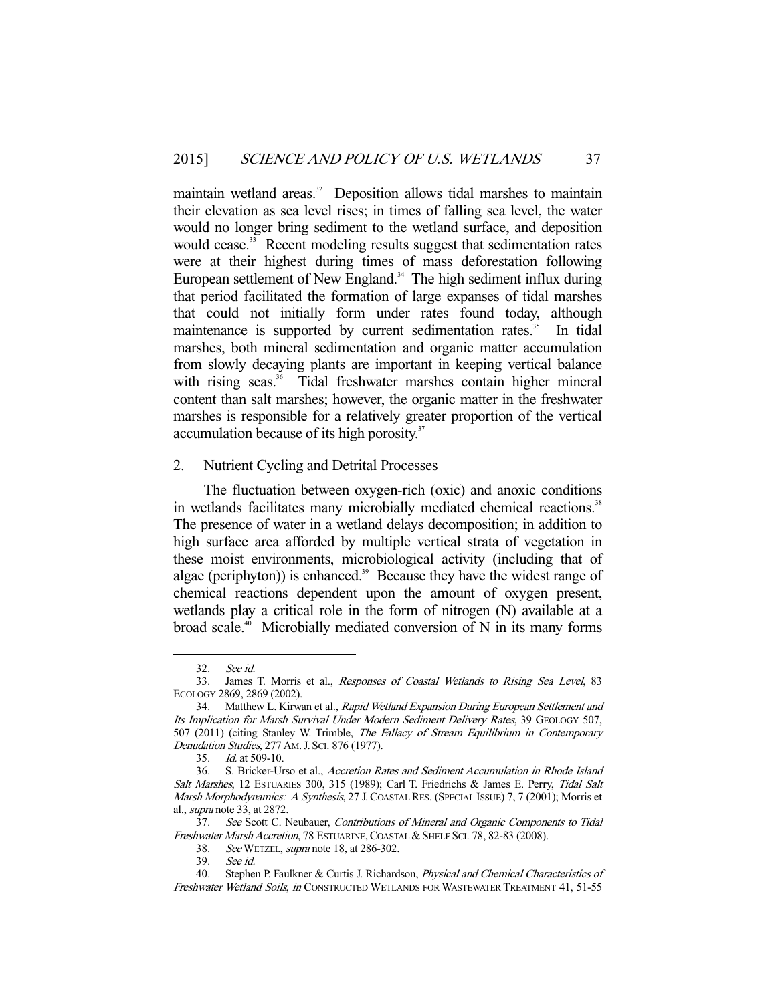maintain wetland areas.<sup>32</sup> Deposition allows tidal marshes to maintain their elevation as sea level rises; in times of falling sea level, the water would no longer bring sediment to the wetland surface, and deposition would cease.<sup>33</sup> Recent modeling results suggest that sedimentation rates were at their highest during times of mass deforestation following European settlement of New England.<sup>34</sup> The high sediment influx during that period facilitated the formation of large expanses of tidal marshes that could not initially form under rates found today, although maintenance is supported by current sedimentation rates.<sup>35</sup> In tidal marshes, both mineral sedimentation and organic matter accumulation from slowly decaying plants are important in keeping vertical balance with rising seas.<sup>36</sup> Tidal freshwater marshes contain higher mineral content than salt marshes; however, the organic matter in the freshwater marshes is responsible for a relatively greater proportion of the vertical accumulation because of its high porosity.<sup>37</sup>

# 2. Nutrient Cycling and Detrital Processes

 The fluctuation between oxygen-rich (oxic) and anoxic conditions in wetlands facilitates many microbially mediated chemical reactions.<sup>38</sup> The presence of water in a wetland delays decomposition; in addition to high surface area afforded by multiple vertical strata of vegetation in these moist environments, microbiological activity (including that of algae (periphyton)) is enhanced. $39$  Because they have the widest range of chemical reactions dependent upon the amount of oxygen present, wetlands play a critical role in the form of nitrogen (N) available at a broad scale.<sup>40</sup> Microbially mediated conversion of N in its many forms

 <sup>32.</sup> See id.

 <sup>33.</sup> James T. Morris et al., Responses of Coastal Wetlands to Rising Sea Level, 83 ECOLOGY 2869, 2869 (2002).

 <sup>34.</sup> Matthew L. Kirwan et al., Rapid Wetland Expansion During European Settlement and Its Implication for Marsh Survival Under Modern Sediment Delivery Rates, 39 GEOLOGY 507, 507 (2011) (citing Stanley W. Trimble, The Fallacy of Stream Equilibrium in Contemporary Denudation Studies, 277 AM. J. SCI. 876 (1977).

 <sup>35.</sup> Id. at 509-10.

 <sup>36.</sup> S. Bricker-Urso et al., Accretion Rates and Sediment Accumulation in Rhode Island Salt Marshes, 12 ESTUARIES 300, 315 (1989); Carl T. Friedrichs & James E. Perry, Tidal Salt Marsh Morphodynamics: A Synthesis, 27 J.COASTAL RES. (SPECIAL ISSUE) 7, 7 (2001); Morris et al., supra note 33, at 2872.

 <sup>37.</sup> See Scott C. Neubauer, Contributions of Mineral and Organic Components to Tidal Freshwater Marsh Accretion, 78 ESTUARINE, COASTAL & SHELF SCI. 78, 82-83 (2008).

<sup>38.</sup> See WETZEL, *supra* note 18, at 286-302.

 <sup>39.</sup> See id.

 <sup>40.</sup> Stephen P. Faulkner & Curtis J. Richardson, Physical and Chemical Characteristics of Freshwater Wetland Soils, in CONSTRUCTED WETLANDS FOR WASTEWATER TREATMENT 41, 51-55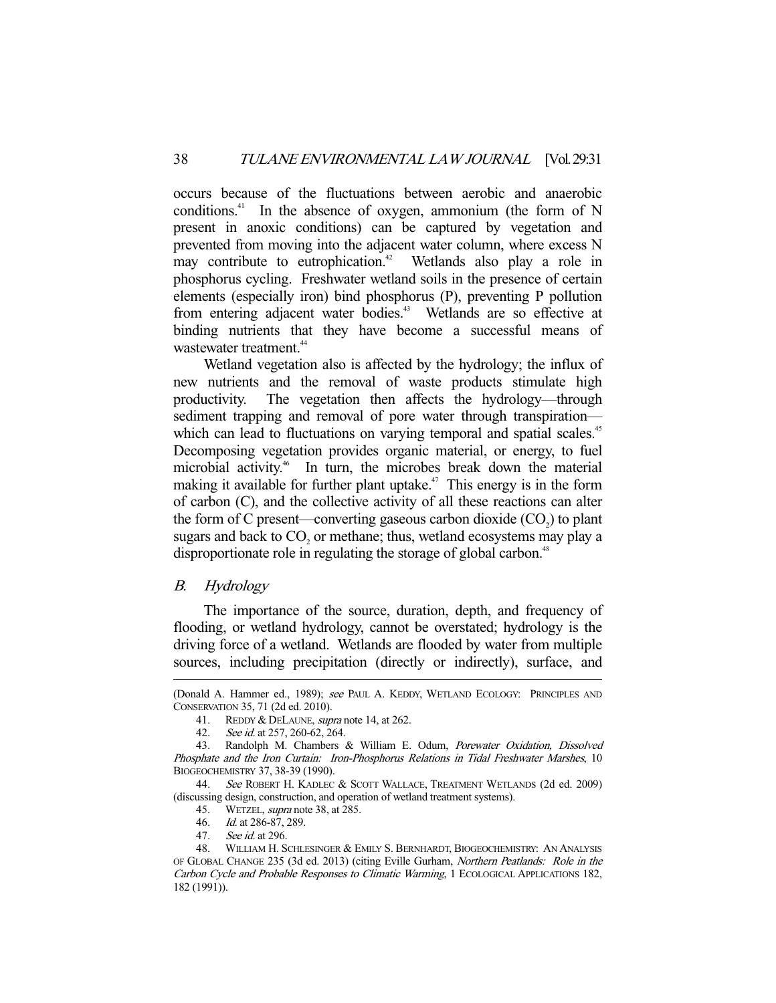occurs because of the fluctuations between aerobic and anaerobic conditions.<sup>41</sup> In the absence of oxygen, ammonium (the form of N present in anoxic conditions) can be captured by vegetation and prevented from moving into the adjacent water column, where excess N may contribute to eutrophication.<sup>42</sup> Wetlands also play a role in phosphorus cycling. Freshwater wetland soils in the presence of certain elements (especially iron) bind phosphorus (P), preventing P pollution from entering adjacent water bodies.<sup>43</sup> Wetlands are so effective at binding nutrients that they have become a successful means of wastewater treatment.<sup>44</sup>

 Wetland vegetation also is affected by the hydrology; the influx of new nutrients and the removal of waste products stimulate high productivity. The vegetation then affects the hydrology—through sediment trapping and removal of pore water through transpiration which can lead to fluctuations on varying temporal and spatial scales.<sup>45</sup> Decomposing vegetation provides organic material, or energy, to fuel microbial activity.<sup>46</sup> In turn, the microbes break down the material making it available for further plant uptake.<sup> $47$ </sup> This energy is in the form of carbon (C), and the collective activity of all these reactions can alter the form of C present—converting gaseous carbon dioxide  $(CO<sub>2</sub>)$  to plant sugars and back to  $CO<sub>2</sub>$  or methane; thus, wetland ecosystems may play a disproportionate role in regulating the storage of global carbon.<sup>48</sup>

# B. Hydrology

-

 The importance of the source, duration, depth, and frequency of flooding, or wetland hydrology, cannot be overstated; hydrology is the driving force of a wetland. Wetlands are flooded by water from multiple sources, including precipitation (directly or indirectly), surface, and

<sup>(</sup>Donald A. Hammer ed., 1989); see PAUL A. KEDDY, WETLAND ECOLOGY: PRINCIPLES AND CONSERVATION 35, 71 (2d ed. 2010).

<sup>41.</sup> REDDY & DELAUNE, *supra* note 14, at 262.

<sup>42.</sup> See id. at 257, 260-62, 264.

 <sup>43.</sup> Randolph M. Chambers & William E. Odum, Porewater Oxidation, Dissolved Phosphate and the Iron Curtain: Iron-Phosphorus Relations in Tidal Freshwater Marshes, 10 BIOGEOCHEMISTRY 37, 38-39 (1990).

<sup>44.</sup> See ROBERT H. KADLEC & SCOTT WALLACE, TREATMENT WETLANDS (2d ed. 2009) (discussing design, construction, and operation of wetland treatment systems).

<sup>45.</sup> WETZEL, *supra* note 38, at 285.

 <sup>46.</sup> Id. at 286-87, 289.

 <sup>47.</sup> See id. at 296.

 <sup>48.</sup> WILLIAM H. SCHLESINGER & EMILY S. BERNHARDT, BIOGEOCHEMISTRY: AN ANALYSIS OF GLOBAL CHANGE 235 (3d ed. 2013) (citing Eville Gurham, Northern Peatlands: Role in the Carbon Cycle and Probable Responses to Climatic Warming, 1 ECOLOGICAL APPLICATIONS 182, 182 (1991)).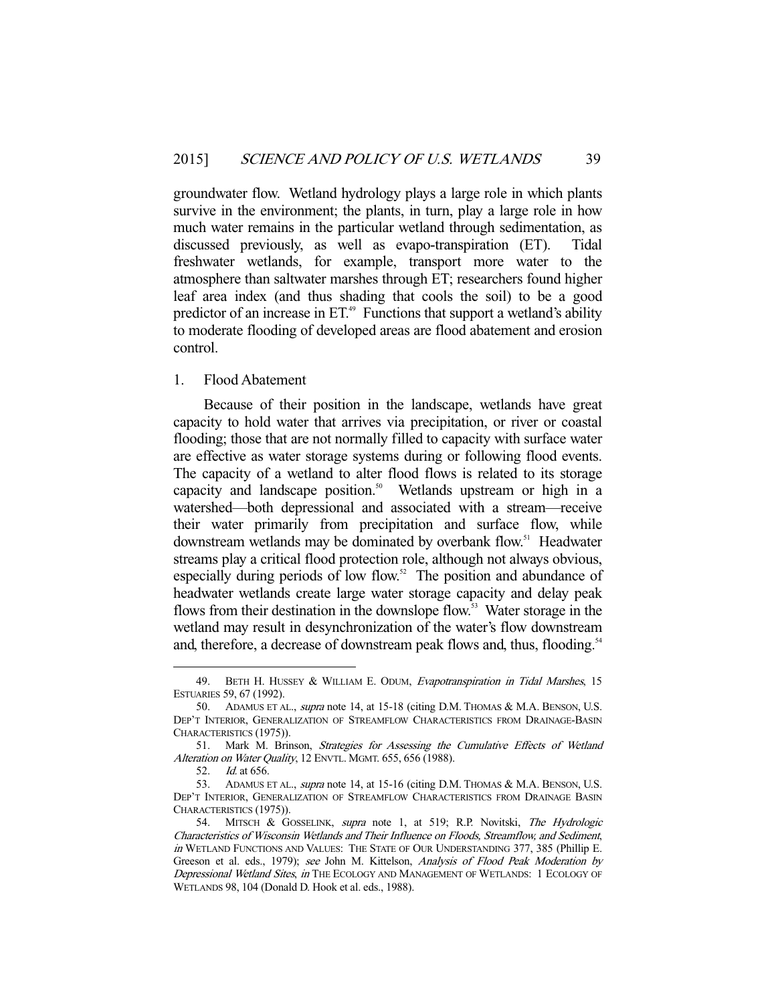groundwater flow. Wetland hydrology plays a large role in which plants survive in the environment; the plants, in turn, play a large role in how much water remains in the particular wetland through sedimentation, as discussed previously, as well as evapo-transpiration (ET). Tidal freshwater wetlands, for example, transport more water to the atmosphere than saltwater marshes through ET; researchers found higher leaf area index (and thus shading that cools the soil) to be a good predictor of an increase in  $ET^*$  Functions that support a wetland's ability to moderate flooding of developed areas are flood abatement and erosion control.

#### 1. Flood Abatement

 Because of their position in the landscape, wetlands have great capacity to hold water that arrives via precipitation, or river or coastal flooding; those that are not normally filled to capacity with surface water are effective as water storage systems during or following flood events. The capacity of a wetland to alter flood flows is related to its storage capacity and landscape position.<sup>50</sup> Wetlands upstream or high in a watershed—both depressional and associated with a stream—receive their water primarily from precipitation and surface flow, while downstream wetlands may be dominated by overbank flow.<sup>51</sup> Headwater streams play a critical flood protection role, although not always obvious, especially during periods of low flow.<sup>52</sup> The position and abundance of headwater wetlands create large water storage capacity and delay peak flows from their destination in the downslope flow.<sup>53</sup> Water storage in the wetland may result in desynchronization of the water's flow downstream and, therefore, a decrease of downstream peak flows and, thus, flooding.<sup>54</sup>

<sup>49.</sup> BETH H. HUSSEY & WILLIAM E. ODUM, Evapotranspiration in Tidal Marshes, 15 ESTUARIES 59, 67 (1992).

<sup>50.</sup> ADAMUS ET AL., *supra* note 14, at 15-18 (citing D.M. THOMAS & M.A. BENSON, U.S. DEP'T INTERIOR, GENERALIZATION OF STREAMFLOW CHARACTERISTICS FROM DRAINAGE-BASIN CHARACTERISTICS (1975)).

 <sup>51.</sup> Mark M. Brinson, Strategies for Assessing the Cumulative Effects of Wetland Alteration on Water Quality, 12 ENVTL. MGMT. 655, 656 (1988).

 <sup>52.</sup> Id. at 656.

<sup>53.</sup> ADAMUS ET AL., *supra* note 14, at 15-16 (citing D.M. THOMAS & M.A. BENSON, U.S. DEP'T INTERIOR, GENERALIZATION OF STREAMFLOW CHARACTERISTICS FROM DRAINAGE BASIN CHARACTERISTICS (1975)).

<sup>54.</sup> MITSCH & GOSSELINK, supra note 1, at 519; R.P. Novitski, The Hydrologic Characteristics of Wisconsin Wetlands and Their Influence on Floods, Streamflow, and Sediment, in WETLAND FUNCTIONS AND VALUES: THE STATE OF OUR UNDERSTANDING 377, 385 (Phillip E. Greeson et al. eds., 1979); see John M. Kittelson, Analysis of Flood Peak Moderation by Depressional Wetland Sites, in THE ECOLOGY AND MANAGEMENT OF WETLANDS: 1 ECOLOGY OF WETLANDS 98, 104 (Donald D. Hook et al. eds., 1988).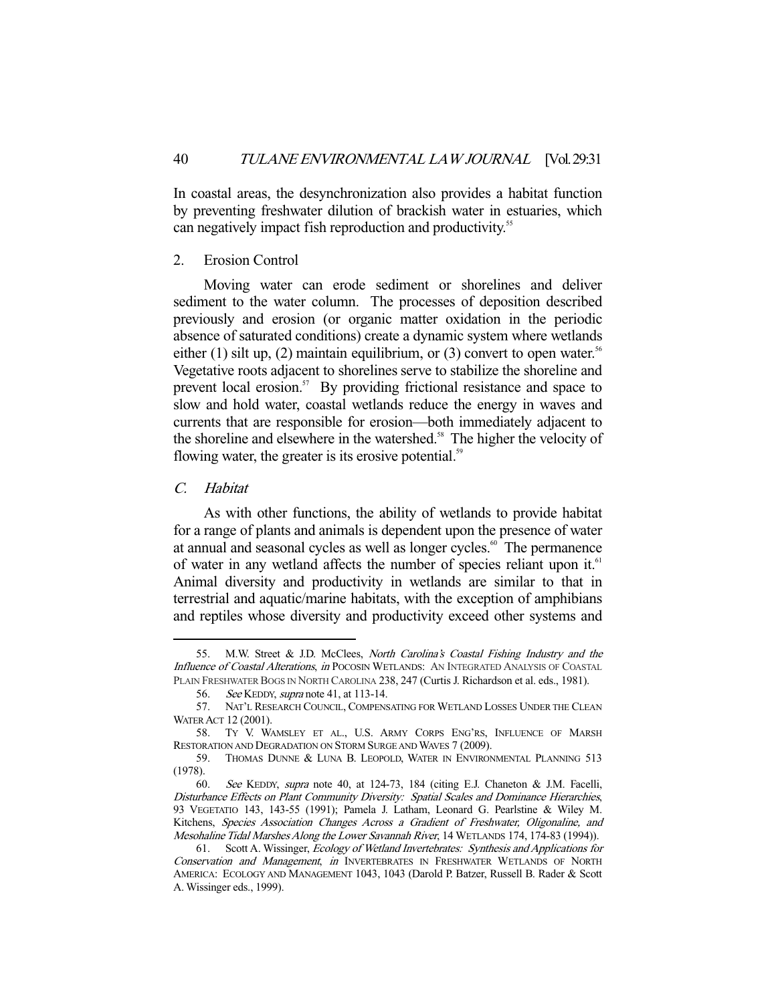In coastal areas, the desynchronization also provides a habitat function by preventing freshwater dilution of brackish water in estuaries, which can negatively impact fish reproduction and productivity.<sup>55</sup>

# 2. Erosion Control

 Moving water can erode sediment or shorelines and deliver sediment to the water column. The processes of deposition described previously and erosion (or organic matter oxidation in the periodic absence of saturated conditions) create a dynamic system where wetlands either (1) silt up, (2) maintain equilibrium, or (3) convert to open water.<sup>56</sup> Vegetative roots adjacent to shorelines serve to stabilize the shoreline and prevent local erosion.<sup>57</sup> By providing frictional resistance and space to slow and hold water, coastal wetlands reduce the energy in waves and currents that are responsible for erosion—both immediately adjacent to the shoreline and elsewhere in the watershed.<sup>58</sup> The higher the velocity of flowing water, the greater is its erosive potential.<sup>59</sup>

# C. Habitat

-

 As with other functions, the ability of wetlands to provide habitat for a range of plants and animals is dependent upon the presence of water at annual and seasonal cycles as well as longer cycles.<sup>60</sup> The permanence of water in any wetland affects the number of species reliant upon it. $61$ Animal diversity and productivity in wetlands are similar to that in terrestrial and aquatic/marine habitats, with the exception of amphibians and reptiles whose diversity and productivity exceed other systems and

<sup>55.</sup> M.W. Street & J.D. McClees, North Carolina's Coastal Fishing Industry and the Influence of Coastal Alterations, in POCOSIN WETLANDS: AN INTEGRATED ANALYSIS OF COASTAL PLAIN FRESHWATER BOGS IN NORTH CAROLINA 238, 247 (Curtis J. Richardson et al. eds., 1981).

<sup>56.</sup> See KEDDY, *supra* note 41, at 113-14.

 <sup>57.</sup> NAT'L RESEARCH COUNCIL, COMPENSATING FOR WETLAND LOSSES UNDER THE CLEAN WATER ACT 12 (2001).

 <sup>58.</sup> TY V. WAMSLEY ET AL., U.S. ARMY CORPS ENG'RS, INFLUENCE OF MARSH RESTORATION AND DEGRADATION ON STORM SURGE AND WAVES 7 (2009).

 <sup>59.</sup> THOMAS DUNNE & LUNA B. LEOPOLD, WATER IN ENVIRONMENTAL PLANNING 513 (1978).

 <sup>60.</sup> See KEDDY, supra note 40, at 124-73, 184 (citing E.J. Chaneton & J.M. Facelli, Disturbance Effects on Plant Community Diversity: Spatial Scales and Dominance Hierarchies, 93 VEGETATIO 143, 143-55 (1991); Pamela J. Latham, Leonard G. Pearlstine & Wiley M. Kitchens, Species Association Changes Across a Gradient of Freshwater, Oligonaline, and Mesohaline Tidal Marshes Along the Lower Savannah River, 14 WETLANDS 174, 174-83 (1994)).

<sup>61.</sup> Scott A. Wissinger, Ecology of Wetland Invertebrates: Synthesis and Applications for Conservation and Management, in INVERTEBRATES IN FRESHWATER WETLANDS OF NORTH AMERICA: ECOLOGY AND MANAGEMENT 1043, 1043 (Darold P. Batzer, Russell B. Rader & Scott A. Wissinger eds., 1999).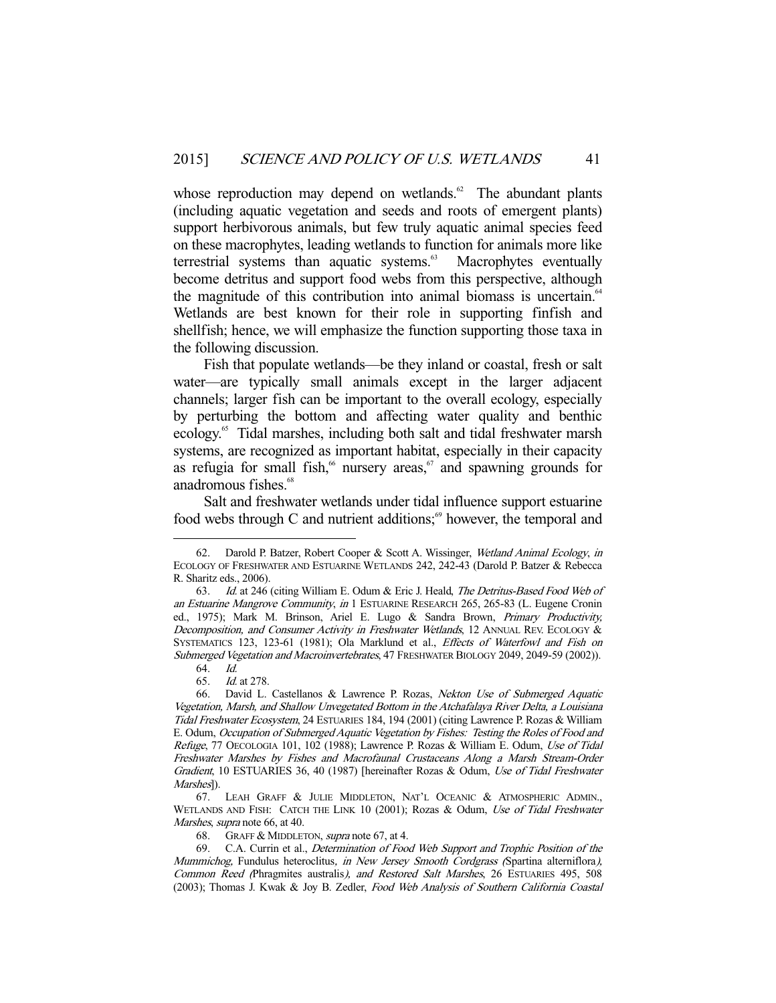whose reproduction may depend on wetlands. $62$  The abundant plants (including aquatic vegetation and seeds and roots of emergent plants) support herbivorous animals, but few truly aquatic animal species feed on these macrophytes, leading wetlands to function for animals more like terrestrial systems than aquatic systems. $63$  Macrophytes eventually become detritus and support food webs from this perspective, although the magnitude of this contribution into animal biomass is uncertain. $64$ Wetlands are best known for their role in supporting finfish and shellfish; hence, we will emphasize the function supporting those taxa in the following discussion.

 Fish that populate wetlands—be they inland or coastal, fresh or salt water—are typically small animals except in the larger adjacent channels; larger fish can be important to the overall ecology, especially by perturbing the bottom and affecting water quality and benthic ecology.65 Tidal marshes, including both salt and tidal freshwater marsh systems, are recognized as important habitat, especially in their capacity as refugia for small fish,<sup>66</sup> nursery areas,<sup>67</sup> and spawning grounds for anadromous fishes.<sup>68</sup>

 Salt and freshwater wetlands under tidal influence support estuarine food webs through C and nutrient additions; $\frac{6}{3}$  however, the temporal and

-

68. GRAFF & MIDDLETON, supra note 67, at 4.

 69. C.A. Currin et al., Determination of Food Web Support and Trophic Position of the Mummichog, Fundulus heteroclitus, in New Jersey Smooth Cordgrass (Spartina alterniflora), Common Reed (Phragmites australis), and Restored Salt Marshes, 26 ESTUARIES 495, 508 (2003); Thomas J. Kwak & Joy B. Zedler, Food Web Analysis of Southern California Coastal

 <sup>62.</sup> Darold P. Batzer, Robert Cooper & Scott A. Wissinger, Wetland Animal Ecology, in ECOLOGY OF FRESHWATER AND ESTUARINE WETLANDS 242, 242-43 (Darold P. Batzer & Rebecca R. Sharitz eds., 2006).

<sup>63.</sup> Id. at 246 (citing William E. Odum & Eric J. Heald, The Detritus-Based Food Web of an Estuarine Mangrove Community, in 1 ESTUARINE RESEARCH 265, 265-83 (L. Eugene Cronin ed., 1975); Mark M. Brinson, Ariel E. Lugo & Sandra Brown, Primary Productivity, Decomposition, and Consumer Activity in Freshwater Wetlands, 12 ANNUAL REV. ECOLOGY & SYSTEMATICS 123, 123-61 (1981); Ola Marklund et al., Effects of Waterfowl and Fish on Submerged Vegetation and Macroinvertebrates, 47 FRESHWATER BIOLOGY 2049, 2049-59 (2002)).

 <sup>64.</sup> Id.

 <sup>65.</sup> Id. at 278.

<sup>66.</sup> David L. Castellanos & Lawrence P. Rozas, Nekton Use of Submerged Aquatic Vegetation, Marsh, and Shallow Unvegetated Bottom in the Atchafalaya River Delta, a Louisiana Tidal Freshwater Ecosystem, 24 ESTUARIES 184, 194 (2001) (citing Lawrence P. Rozas & William E. Odum, Occupation of Submerged Aquatic Vegetation by Fishes: Testing the Roles of Food and Refuge, 77 OECOLOGIA 101, 102 (1988); Lawrence P. Rozas & William E. Odum, Use of Tidal Freshwater Marshes by Fishes and Macrofaunal Crustaceans Along a Marsh Stream-Order Gradient, 10 ESTUARIES 36, 40 (1987) [hereinafter Rozas & Odum, Use of Tidal Freshwater Marshes]).

 <sup>67.</sup> LEAH GRAFF & JULIE MIDDLETON, NAT'L OCEANIC & ATMOSPHERIC ADMIN., WETLANDS AND FISH: CATCH THE LINK 10 (2001); Rozas & Odum, Use of Tidal Freshwater Marshes, supra note 66, at 40.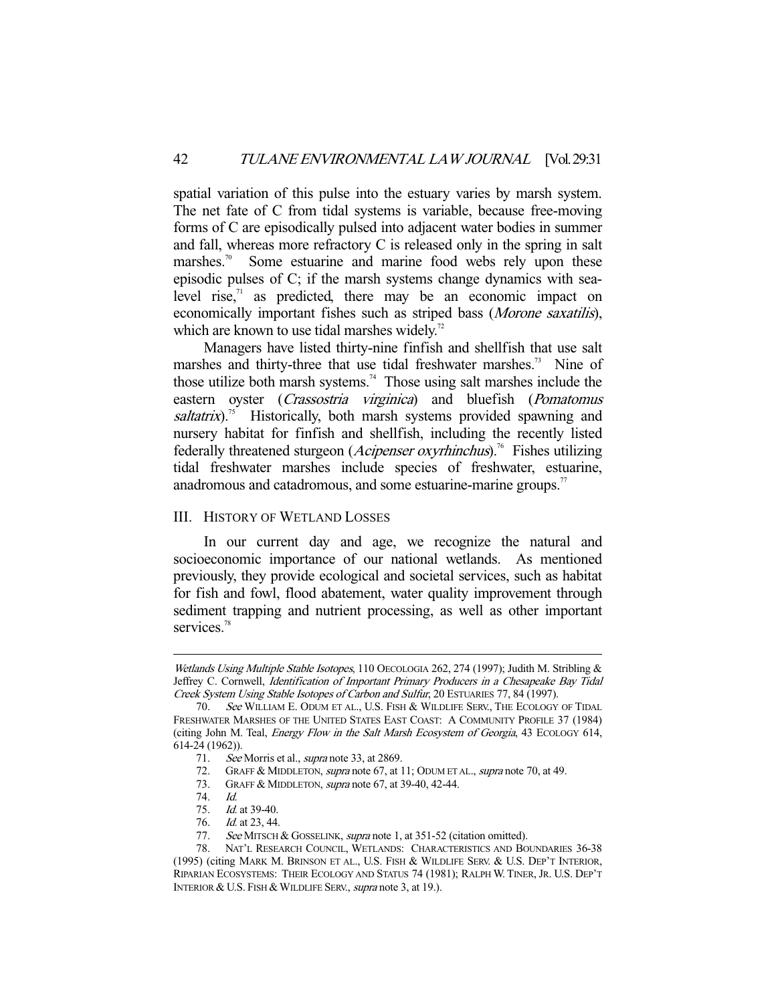spatial variation of this pulse into the estuary varies by marsh system. The net fate of C from tidal systems is variable, because free-moving forms of C are episodically pulsed into adjacent water bodies in summer and fall, whereas more refractory C is released only in the spring in salt marshes.<sup>70</sup> Some estuarine and marine food webs rely upon these episodic pulses of C; if the marsh systems change dynamics with sealevel rise, $\frac{1}{x}$  as predicted, there may be an economic impact on economically important fishes such as striped bass (Morone saxatilis), which are known to use tidal marshes widely.<sup>72</sup>

 Managers have listed thirty-nine finfish and shellfish that use salt marshes and thirty-three that use tidal freshwater marshes.<sup>73</sup> Nine of those utilize both marsh systems.<sup>74</sup> Those using salt marshes include the eastern oyster (*Crassostria virginica*) and bluefish (*Pomatomus* saltatrix).<sup>75</sup> Historically, both marsh systems provided spawning and nursery habitat for finfish and shellfish, including the recently listed federally threatened sturgeon (*Acipenser oxyrhinchus*).<sup>76</sup> Fishes utilizing tidal freshwater marshes include species of freshwater, estuarine, anadromous and catadromous, and some estuarine-marine groups.<sup>77</sup>

# III. HISTORY OF WETLAND LOSSES

 In our current day and age, we recognize the natural and socioeconomic importance of our national wetlands. As mentioned previously, they provide ecological and societal services, such as habitat for fish and fowl, flood abatement, water quality improvement through sediment trapping and nutrient processing, as well as other important services.<sup>78</sup>

Wetlands Using Multiple Stable Isotopes, 110 OECOLOGIA 262, 274 (1997); Judith M. Stribling & Jeffrey C. Cornwell, Identification of Important Primary Producers in a Chesapeake Bay Tidal Creek System Using Stable Isotopes of Carbon and Sulfur, 20 ESTUARIES 77, 84 (1997).

 <sup>70.</sup> See WILLIAM E. ODUM ET AL., U.S. FISH & WILDLIFE SERV., THE ECOLOGY OF TIDAL FRESHWATER MARSHES OF THE UNITED STATES EAST COAST: A COMMUNITY PROFILE 37 (1984) (citing John M. Teal, Energy Flow in the Salt Marsh Ecosystem of Georgia, 43 ECOLOGY 614, 614-24 (1962)).

<sup>71.</sup> See Morris et al., *supra* note 33, at 2869.

 <sup>72.</sup> GRAFF & MIDDLETON, supra note 67, at 11; ODUM ET AL., supra note 70, at 49.

 <sup>73.</sup> GRAFF & MIDDLETON, supra note 67, at 39-40, 42-44.

 <sup>74.</sup> Id.

 <sup>75.</sup> Id. at 39-40.

<sup>76.</sup> *Id.* at 23, 44.

<sup>77.</sup> See MITSCH & GOSSELINK, supra note 1, at 351-52 (citation omitted).

NAT'L RESEARCH COUNCIL, WETLANDS: CHARACTERISTICS AND BOUNDARIES 36-38 (1995) (citing MARK M. BRINSON ET AL., U.S. FISH & WILDLIFE SERV. & U.S. DEP'T INTERIOR, RIPARIAN ECOSYSTEMS: THEIR ECOLOGY AND STATUS 74 (1981); RALPH W. TINER, JR. U.S. DEP'T INTERIOR & U.S. FISH & WILDLIFE SERV., supra note 3, at 19.).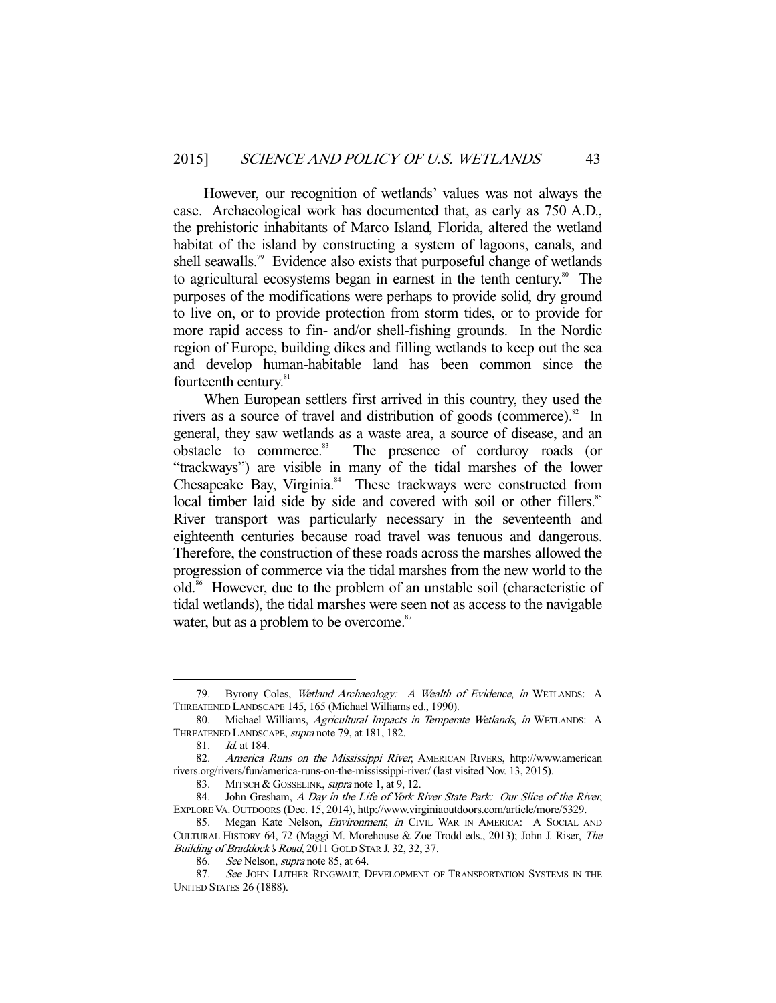However, our recognition of wetlands' values was not always the case. Archaeological work has documented that, as early as 750 A.D., the prehistoric inhabitants of Marco Island, Florida, altered the wetland habitat of the island by constructing a system of lagoons, canals, and shell seawalls.<sup>79</sup> Evidence also exists that purposeful change of wetlands to agricultural ecosystems began in earnest in the tenth century.<sup>80</sup> The purposes of the modifications were perhaps to provide solid, dry ground to live on, or to provide protection from storm tides, or to provide for more rapid access to fin- and/or shell-fishing grounds. In the Nordic region of Europe, building dikes and filling wetlands to keep out the sea and develop human-habitable land has been common since the fourteenth century.<sup>81</sup>

 When European settlers first arrived in this country, they used the rivers as a source of travel and distribution of goods (commerce). $82$  In general, they saw wetlands as a waste area, a source of disease, and an obstacle to commerce.<sup>83</sup> The presence of corduroy roads (or "trackways") are visible in many of the tidal marshes of the lower Chesapeake Bay, Virginia.<sup>84</sup> These trackways were constructed from local timber laid side by side and covered with soil or other fillers.<sup>85</sup> River transport was particularly necessary in the seventeenth and eighteenth centuries because road travel was tenuous and dangerous. Therefore, the construction of these roads across the marshes allowed the progression of commerce via the tidal marshes from the new world to the old.<sup>86</sup> However, due to the problem of an unstable soil (characteristic of tidal wetlands), the tidal marshes were seen not as access to the navigable water, but as a problem to be overcome.<sup>87</sup>

<sup>79.</sup> Byrony Coles, Wetland Archaeology: A Wealth of Evidence, in WETLANDS: A THREATENED LANDSCAPE 145, 165 (Michael Williams ed., 1990).

 <sup>80.</sup> Michael Williams, Agricultural Impacts in Temperate Wetlands, in WETLANDS: A THREATENED LANDSCAPE, supra note 79, at 181, 182.

 <sup>81.</sup> Id. at 184.

 <sup>82.</sup> America Runs on the Mississippi River, AMERICAN RIVERS, http://www.american rivers.org/rivers/fun/america-runs-on-the-mississippi-river/ (last visited Nov. 13, 2015).

<sup>83.</sup> MITSCH & GOSSELINK, *supra* note 1, at 9, 12.

<sup>84.</sup> John Gresham, A Day in the Life of York River State Park: Our Slice of the River, EXPLORE VA. OUTDOORS (Dec. 15, 2014), http://www.virginiaoutdoors.com/article/more/5329.

<sup>85.</sup> Megan Kate Nelson, *Environment*, in CIVIL WAR IN AMERICA: A SOCIAL AND CULTURAL HISTORY 64, 72 (Maggi M. Morehouse & Zoe Trodd eds., 2013); John J. Riser, The Building of Braddock's Road, 2011 GOLD STAR J. 32, 32, 37.

 <sup>86.</sup> See Nelson, supra note 85, at 64.

<sup>87.</sup> See JOHN LUTHER RINGWALT, DEVELOPMENT OF TRANSPORTATION SYSTEMS IN THE UNITED STATES 26 (1888).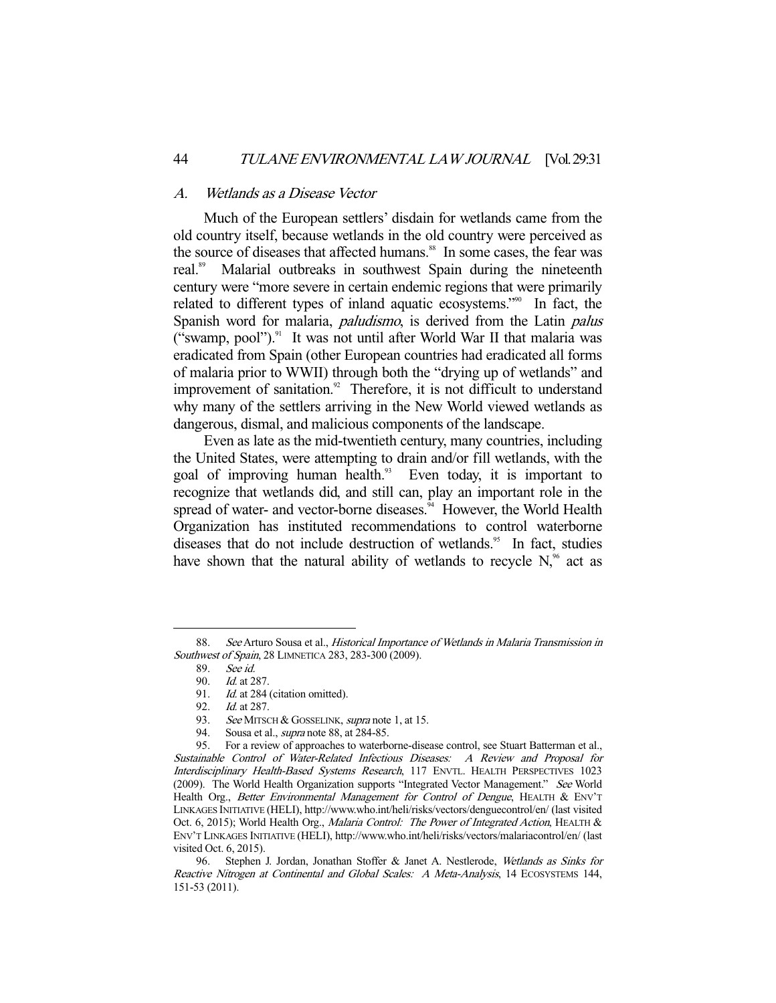#### A. Wetlands as a Disease Vector

 Much of the European settlers' disdain for wetlands came from the old country itself, because wetlands in the old country were perceived as the source of diseases that affected humans.<sup>88</sup> In some cases, the fear was real.<sup>89</sup> Malarial outbreaks in southwest Spain during the nineteenth century were "more severe in certain endemic regions that were primarily related to different types of inland aquatic ecosystems."<sup>90</sup> In fact, the Spanish word for malaria, *paludismo*, is derived from the Latin *palus* ("swamp, pool").<sup>91</sup> It was not until after World War II that malaria was eradicated from Spain (other European countries had eradicated all forms of malaria prior to WWII) through both the "drying up of wetlands" and improvement of sanitation.<sup>92</sup> Therefore, it is not difficult to understand why many of the settlers arriving in the New World viewed wetlands as dangerous, dismal, and malicious components of the landscape.

 Even as late as the mid-twentieth century, many countries, including the United States, were attempting to drain and/or fill wetlands, with the goal of improving human health.<sup>93</sup> Even today, it is important to recognize that wetlands did, and still can, play an important role in the spread of water- and vector-borne diseases. $^{34}$  However, the World Health Organization has instituted recommendations to control waterborne diseases that do not include destruction of wetlands.<sup>95</sup> In fact, studies have shown that the natural ability of wetlands to recycle  $N<sub>1</sub><sup>96</sup>$  act as

 <sup>88.</sup> See Arturo Sousa et al., Historical Importance of Wetlands in Malaria Transmission in Southwest of Spain, 28 LIMNETICA 283, 283-300 (2009).

 <sup>89.</sup> See id.

 <sup>90.</sup> Id. at 287.

<sup>91.</sup> *Id.* at 284 (citation omitted).

 <sup>92.</sup> Id. at 287.

<sup>93.</sup> See MITSCH & GOSSELINK, supra note 1, at 15.

<sup>94.</sup> Sousa et al., *supra* note 88, at 284-85.

 <sup>95.</sup> For a review of approaches to waterborne-disease control, see Stuart Batterman et al., Sustainable Control of Water-Related Infectious Diseases: A Review and Proposal for Interdisciplinary Health-Based Systems Research, 117 ENVTL. HEALTH PERSPECTIVES 1023 (2009). The World Health Organization supports "Integrated Vector Management." See World Health Org., Better Environmental Management for Control of Dengue, HEALTH & ENV'T LINKAGES INITIATIVE (HELI), http://www.who.int/heli/risks/vectors/denguecontrol/en/ (last visited Oct. 6, 2015); World Health Org., Malaria Control: The Power of Integrated Action, HEALTH & ENV'T LINKAGES INITIATIVE (HELI), http://www.who.int/heli/risks/vectors/malariacontrol/en/ (last visited Oct. 6, 2015).

<sup>96.</sup> Stephen J. Jordan, Jonathan Stoffer & Janet A. Nestlerode, Wetlands as Sinks for Reactive Nitrogen at Continental and Global Scales: A Meta-Analysis, 14 ECOSYSTEMS 144, 151-53 (2011).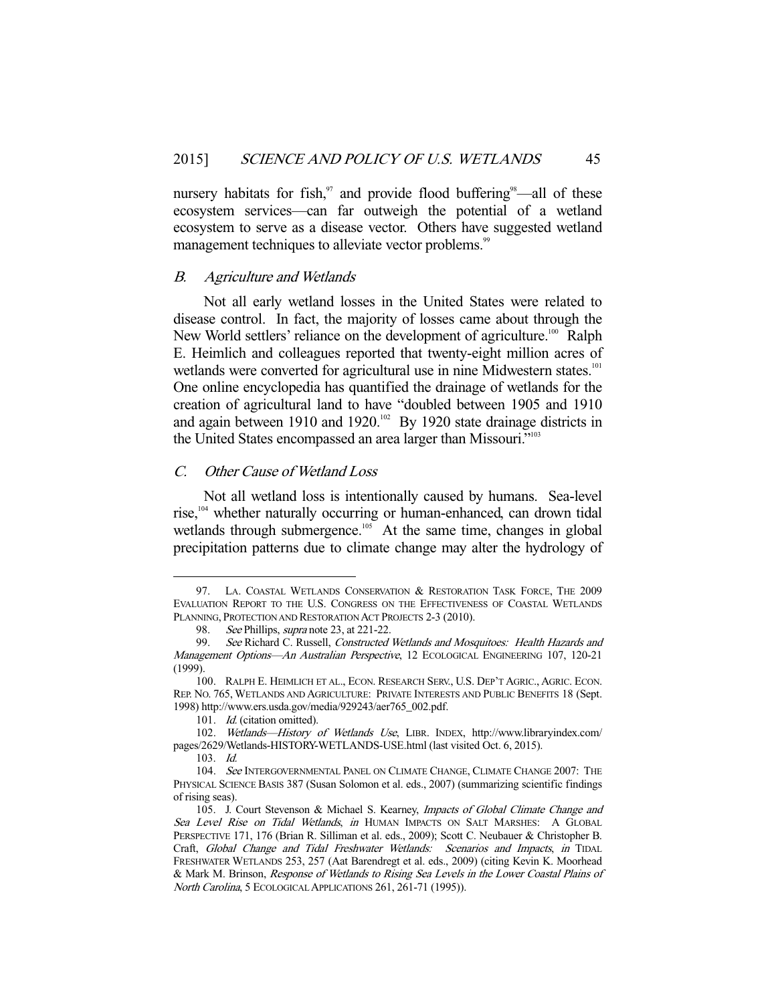nursery habitats for fish, $97$  and provide flood buffering $98$ —all of these ecosystem services—can far outweigh the potential of a wetland ecosystem to serve as a disease vector. Others have suggested wetland management techniques to alleviate vector problems.<sup>99</sup>

#### B. Agriculture and Wetlands

 Not all early wetland losses in the United States were related to disease control. In fact, the majority of losses came about through the New World settlers' reliance on the development of agriculture.<sup>100</sup> Ralph E. Heimlich and colleagues reported that twenty-eight million acres of wetlands were converted for agricultural use in nine Midwestern states.<sup>101</sup> One online encyclopedia has quantified the drainage of wetlands for the creation of agricultural land to have "doubled between 1905 and 1910 and again between 1910 and 1920.<sup>102</sup> By 1920 state drainage districts in the United States encompassed an area larger than Missouri."<sup>103</sup>

#### C. Other Cause of Wetland Loss

 Not all wetland loss is intentionally caused by humans. Sea-level rise,<sup>104</sup> whether naturally occurring or human-enhanced, can drown tidal wetlands through submergence.<sup>105</sup> At the same time, changes in global precipitation patterns due to climate change may alter the hydrology of

 <sup>97.</sup> LA. COASTAL WETLANDS CONSERVATION & RESTORATION TASK FORCE, THE 2009 EVALUATION REPORT TO THE U.S. CONGRESS ON THE EFFECTIVENESS OF COASTAL WETLANDS PLANNING, PROTECTION AND RESTORATION ACT PROJECTS 2-3 (2010).

<sup>98.</sup> See Phillips, supra note 23, at 221-22.

<sup>99.</sup> See Richard C. Russell, Constructed Wetlands and Mosquitoes: Health Hazards and Management Options—An Australian Perspective, 12 ECOLOGICAL ENGINEERING 107, 120-21 (1999).

 <sup>100.</sup> RALPH E. HEIMLICH ET AL., ECON. RESEARCH SERV., U.S. DEP'T AGRIC., AGRIC. ECON. REP. NO. 765, WETLANDS AND AGRICULTURE: PRIVATE INTERESTS AND PUBLIC BENEFITS 18 (Sept. 1998) http://www.ers.usda.gov/media/929243/aer765\_002.pdf.

<sup>101.</sup> *Id.* (citation omitted).

 <sup>102.</sup> Wetlands—History of Wetlands Use, LIBR. INDEX, http://www.libraryindex.com/ pages/2629/Wetlands-HISTORY-WETLANDS-USE.html (last visited Oct. 6, 2015).

 <sup>103.</sup> Id.

<sup>104.</sup> See INTERGOVERNMENTAL PANEL ON CLIMATE CHANGE, CLIMATE CHANGE 2007: THE PHYSICAL SCIENCE BASIS 387 (Susan Solomon et al. eds., 2007) (summarizing scientific findings of rising seas).

<sup>105.</sup> J. Court Stevenson & Michael S. Kearney, Impacts of Global Climate Change and Sea Level Rise on Tidal Wetlands, in HUMAN IMPACTS ON SALT MARSHES: A GLOBAL PERSPECTIVE 171, 176 (Brian R. Silliman et al. eds., 2009); Scott C. Neubauer & Christopher B. Craft, Global Change and Tidal Freshwater Wetlands: Scenarios and Impacts, in TIDAL FRESHWATER WETLANDS 253, 257 (Aat Barendregt et al. eds., 2009) (citing Kevin K. Moorhead & Mark M. Brinson, Response of Wetlands to Rising Sea Levels in the Lower Coastal Plains of North Carolina, 5 ECOLOGICAL APPLICATIONS 261, 261-71 (1995)).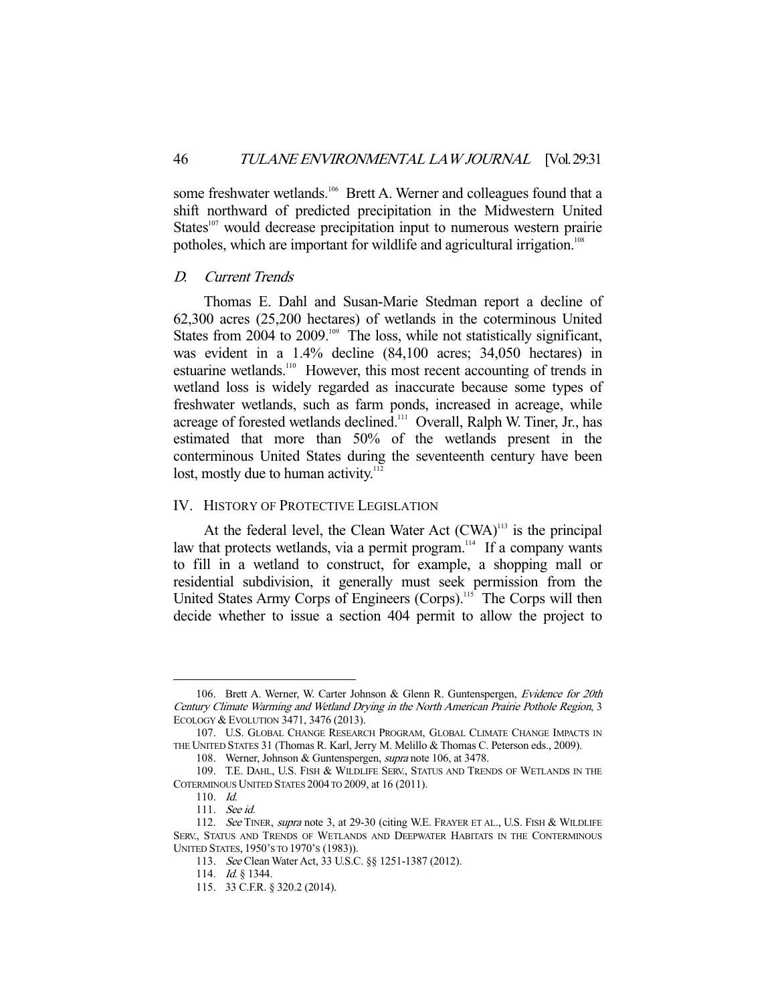some freshwater wetlands.<sup>106</sup> Brett A. Werner and colleagues found that a shift northward of predicted precipitation in the Midwestern United States $107$  would decrease precipitation input to numerous western prairie potholes, which are important for wildlife and agricultural irrigation.<sup>108</sup>

#### D. Current Trends

 Thomas E. Dahl and Susan-Marie Stedman report a decline of 62,300 acres (25,200 hectares) of wetlands in the coterminous United States from 2004 to 2009.<sup>109</sup> The loss, while not statistically significant, was evident in a 1.4% decline (84,100 acres; 34,050 hectares) in estuarine wetlands.<sup>110</sup> However, this most recent accounting of trends in wetland loss is widely regarded as inaccurate because some types of freshwater wetlands, such as farm ponds, increased in acreage, while acreage of forested wetlands declined.<sup>111</sup> Overall, Ralph W. Tiner, Jr., has estimated that more than 50% of the wetlands present in the conterminous United States during the seventeenth century have been lost, mostly due to human activity.<sup>112</sup>

#### IV. HISTORY OF PROTECTIVE LEGISLATION

At the federal level, the Clean Water Act (CWA)<sup>113</sup> is the principal law that protects wetlands, via a permit program.<sup>114</sup> If a company wants to fill in a wetland to construct, for example, a shopping mall or residential subdivision, it generally must seek permission from the United States Army Corps of Engineers (Corps).<sup>115</sup> The Corps will then decide whether to issue a section 404 permit to allow the project to

<sup>106.</sup> Brett A. Werner, W. Carter Johnson & Glenn R. Guntenspergen, Evidence for 20th Century Climate Warming and Wetland Drying in the North American Prairie Pothole Region, 3 ECOLOGY & EVOLUTION 3471, 3476 (2013).

 <sup>107.</sup> U.S. GLOBAL CHANGE RESEARCH PROGRAM, GLOBAL CLIMATE CHANGE IMPACTS IN THE UNITED STATES 31 (Thomas R. Karl, Jerry M. Melillo & Thomas C. Peterson eds., 2009).

 <sup>108.</sup> Werner, Johnson & Guntenspergen, supra note 106, at 3478.

 <sup>109.</sup> T.E. DAHL, U.S. FISH & WILDLIFE SERV., STATUS AND TRENDS OF WETLANDS IN THE COTERMINOUS UNITED STATES 2004 TO 2009, at 16 (2011).

 <sup>110.</sup> Id.

 <sup>111.</sup> See id.

<sup>112.</sup> See TINER, supra note 3, at 29-30 (citing W.E. FRAYER ET AL., U.S. FISH & WILDLIFE SERV., STATUS AND TRENDS OF WETLANDS AND DEEPWATER HABITATS IN THE CONTERMINOUS UNITED STATES, 1950'S TO 1970'S (1983)).

 <sup>113.</sup> See Clean Water Act, 33 U.S.C. §§ 1251-1387 (2012).

<sup>114.</sup> *Id.* § 1344.

 <sup>115. 33</sup> C.F.R. § 320.2 (2014).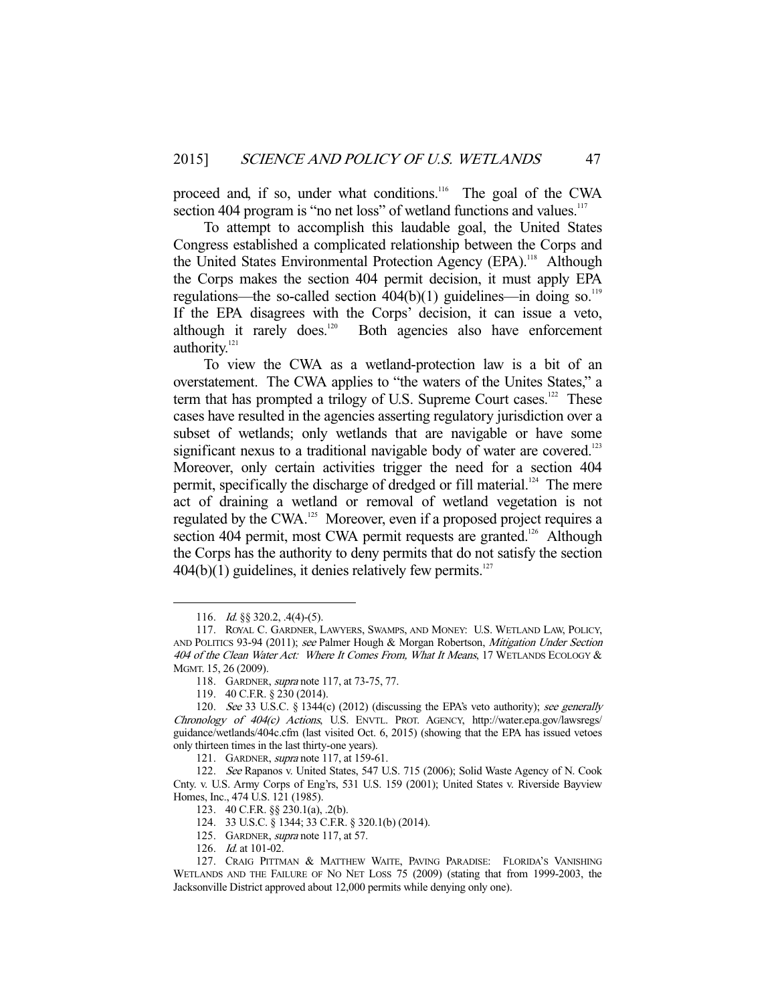proceed and, if so, under what conditions.<sup>116</sup> The goal of the CWA section 404 program is "no net loss" of wetland functions and values.<sup>117</sup>

 To attempt to accomplish this laudable goal, the United States Congress established a complicated relationship between the Corps and the United States Environmental Protection Agency (EPA).<sup>118</sup> Although the Corps makes the section 404 permit decision, it must apply EPA regulations—the so-called section  $404(b)(1)$  guidelines—in doing so.<sup>119</sup> If the EPA disagrees with the Corps' decision, it can issue a veto, although it rarely does.<sup>120</sup> Both agencies also have enforcement authority.<sup>121</sup>

 To view the CWA as a wetland-protection law is a bit of an overstatement. The CWA applies to "the waters of the Unites States," a term that has prompted a trilogy of U.S. Supreme Court cases.<sup>122</sup> These cases have resulted in the agencies asserting regulatory jurisdiction over a subset of wetlands; only wetlands that are navigable or have some significant nexus to a traditional navigable body of water are covered.<sup>123</sup> Moreover, only certain activities trigger the need for a section 404 permit, specifically the discharge of dredged or fill material.<sup>124</sup> The mere act of draining a wetland or removal of wetland vegetation is not regulated by the CWA.125 Moreover, even if a proposed project requires a section 404 permit, most CWA permit requests are granted.<sup>126</sup> Although the Corps has the authority to deny permits that do not satisfy the section  $404(b)(1)$  guidelines, it denies relatively few permits.<sup>127</sup>

<sup>116.</sup> *Id.* §§ 320.2, .4(4)-(5).

 <sup>117.</sup> ROYAL C. GARDNER, LAWYERS, SWAMPS, AND MONEY: U.S. WETLAND LAW, POLICY, AND POLITICS 93-94 (2011); see Palmer Hough & Morgan Robertson, Mitigation Under Section 404 of the Clean Water Act: Where It Comes From, What It Means, 17 WETLANDS ECOLOGY & MGMT. 15, 26 (2009).

 <sup>118.</sup> GARDNER, supra note 117, at 73-75, 77.

 <sup>119. 40</sup> C.F.R. § 230 (2014).

<sup>120.</sup> See 33 U.S.C. § 1344(c) (2012) (discussing the EPA's veto authority); see generally Chronology of 404(c) Actions, U.S. ENVTL. PROT. AGENCY, http://water.epa.gov/lawsregs/ guidance/wetlands/404c.cfm (last visited Oct. 6, 2015) (showing that the EPA has issued vetoes only thirteen times in the last thirty-one years).

<sup>121.</sup> GARDNER, *supra* note 117, at 159-61.

 <sup>122.</sup> See Rapanos v. United States, 547 U.S. 715 (2006); Solid Waste Agency of N. Cook Cnty. v. U.S. Army Corps of Eng'rs, 531 U.S. 159 (2001); United States v. Riverside Bayview Homes, Inc., 474 U.S. 121 (1985).

 <sup>123. 40</sup> C.F.R. §§ 230.1(a), .2(b).

 <sup>124. 33</sup> U.S.C. § 1344; 33 C.F.R. § 320.1(b) (2014).

<sup>125.</sup> GARDNER, *supra* note 117, at 57.

 <sup>126.</sup> Id. at 101-02.

 <sup>127.</sup> CRAIG PITTMAN & MATTHEW WAITE, PAVING PARADISE: FLORIDA'S VANISHING WETLANDS AND THE FAILURE OF NO NET LOSS 75 (2009) (stating that from 1999-2003, the Jacksonville District approved about 12,000 permits while denying only one).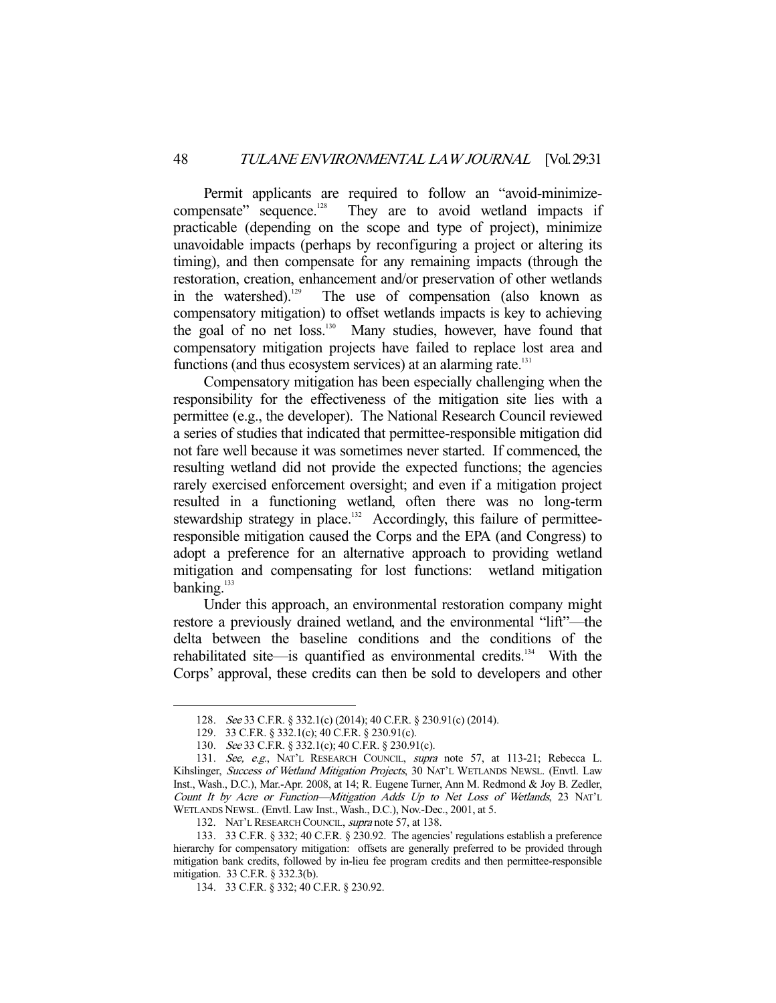Permit applicants are required to follow an "avoid-minimize-<br>compensate" sequence.<sup>128</sup> They are to avoid wetland impacts if They are to avoid wetland impacts if practicable (depending on the scope and type of project), minimize unavoidable impacts (perhaps by reconfiguring a project or altering its timing), and then compensate for any remaining impacts (through the restoration, creation, enhancement and/or preservation of other wetlands in the watershed).<sup>129</sup> The use of compensation (also known as compensatory mitigation) to offset wetlands impacts is key to achieving the goal of no net loss.<sup>130</sup> Many studies, however, have found that compensatory mitigation projects have failed to replace lost area and functions (and thus ecosystem services) at an alarming rate. $131$ 

 Compensatory mitigation has been especially challenging when the responsibility for the effectiveness of the mitigation site lies with a permittee (e.g., the developer). The National Research Council reviewed a series of studies that indicated that permittee-responsible mitigation did not fare well because it was sometimes never started. If commenced, the resulting wetland did not provide the expected functions; the agencies rarely exercised enforcement oversight; and even if a mitigation project resulted in a functioning wetland, often there was no long-term stewardship strategy in place.<sup>132</sup> Accordingly, this failure of permitteeresponsible mitigation caused the Corps and the EPA (and Congress) to adopt a preference for an alternative approach to providing wetland mitigation and compensating for lost functions: wetland mitigation banking.<sup>133</sup>

 Under this approach, an environmental restoration company might restore a previously drained wetland, and the environmental "lift"—the delta between the baseline conditions and the conditions of the rehabilitated site—is quantified as environmental credits.<sup>134</sup> With the Corps' approval, these credits can then be sold to developers and other

 <sup>128.</sup> See 33 C.F.R. § 332.1(c) (2014); 40 C.F.R. § 230.91(c) (2014).

 <sup>129. 33</sup> C.F.R. § 332.1(c); 40 C.F.R. § 230.91(c).

 <sup>130.</sup> See 33 C.F.R. § 332.1(c); 40 C.F.R. § 230.91(c).

<sup>131.</sup> See, e.g., NAT'L RESEARCH COUNCIL, supra note 57, at 113-21; Rebecca L. Kihslinger, Success of Wetland Mitigation Projects, 30 NAT'L WETLANDS NEWSL. (Envtl. Law Inst., Wash., D.C.), Mar.-Apr. 2008, at 14; R. Eugene Turner, Ann M. Redmond & Joy B. Zedler, Count It by Acre or Function—Mitigation Adds Up to Net Loss of Wetlands, 23 NAT'L WETLANDS NEWSL. (Envtl. Law Inst., Wash., D.C.), Nov.-Dec., 2001, at 5.

<sup>132.</sup> NAT'L RESEARCH COUNCIL, *supra* note 57, at 138.

 <sup>133. 33</sup> C.F.R. § 332; 40 C.F.R. § 230.92. The agencies' regulations establish a preference hierarchy for compensatory mitigation: offsets are generally preferred to be provided through mitigation bank credits, followed by in-lieu fee program credits and then permittee-responsible mitigation. 33 C.F.R. § 332.3(b).

 <sup>134. 33</sup> C.F.R. § 332; 40 C.F.R. § 230.92.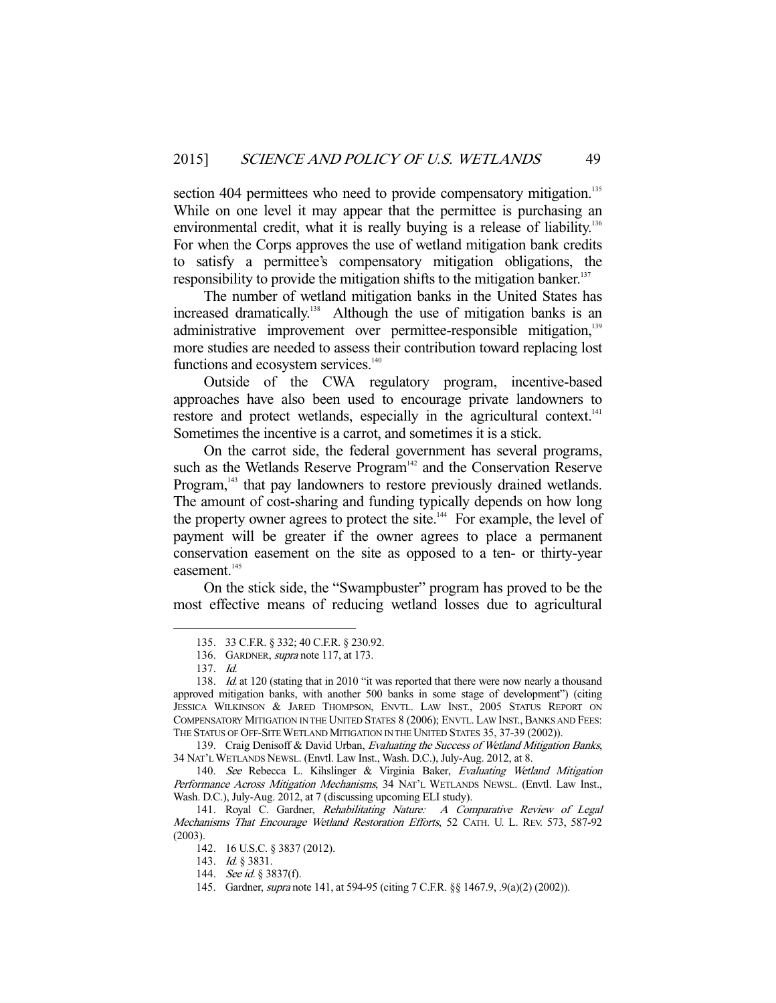section 404 permittees who need to provide compensatory mitigation.<sup>135</sup> While on one level it may appear that the permittee is purchasing an environmental credit, what it is really buying is a release of liability.<sup>136</sup> For when the Corps approves the use of wetland mitigation bank credits to satisfy a permittee's compensatory mitigation obligations, the responsibility to provide the mitigation shifts to the mitigation banker.<sup>137</sup>

 The number of wetland mitigation banks in the United States has increased dramatically.<sup>138</sup> Although the use of mitigation banks is an administrative improvement over permittee-responsible mitigation,<sup>139</sup> more studies are needed to assess their contribution toward replacing lost functions and ecosystem services.<sup>140</sup>

 Outside of the CWA regulatory program, incentive-based approaches have also been used to encourage private landowners to restore and protect wetlands, especially in the agricultural context.<sup>141</sup> Sometimes the incentive is a carrot, and sometimes it is a stick.

 On the carrot side, the federal government has several programs, such as the Wetlands Reserve Program<sup>142</sup> and the Conservation Reserve Program,<sup>143</sup> that pay landowners to restore previously drained wetlands. The amount of cost-sharing and funding typically depends on how long the property owner agrees to protect the site. $144$  For example, the level of payment will be greater if the owner agrees to place a permanent conservation easement on the site as opposed to a ten- or thirty-year easement.<sup>145</sup>

 On the stick side, the "Swampbuster" program has proved to be the most effective means of reducing wetland losses due to agricultural

-

139. Craig Denisoff & David Urban, Evaluating the Success of Wetland Mitigation Banks, 34 NAT'L WETLANDS NEWSL. (Envtl. Law Inst., Wash. D.C.), July-Aug. 2012, at 8.

 <sup>135. 33</sup> C.F.R. § 332; 40 C.F.R. § 230.92.

<sup>136.</sup> GARDNER, *supra* note 117, at 173.

 <sup>137.</sup> Id.

<sup>138.</sup> Id. at 120 (stating that in 2010 "it was reported that there were now nearly a thousand approved mitigation banks, with another 500 banks in some stage of development") (citing JESSICA WILKINSON & JARED THOMPSON, ENVTL. LAW INST., 2005 STATUS REPORT ON COMPENSATORY MITIGATION IN THE UNITED STATES 8 (2006); ENVTL. LAW INST., BANKS AND FEES: THE STATUS OF OFF-SITE WETLAND MITIGATION IN THE UNITED STATES 35, 37-39 (2002)).

<sup>140.</sup> See Rebecca L. Kihslinger & Virginia Baker, Evaluating Wetland Mitigation Performance Across Mitigation Mechanisms, 34 NAT'L WETLANDS NEWSL. (Envtl. Law Inst., Wash. D.C.), July-Aug. 2012, at 7 (discussing upcoming ELI study).

<sup>141.</sup> Royal C. Gardner, Rehabilitating Nature: A Comparative Review of Legal Mechanisms That Encourage Wetland Restoration Efforts, 52 CATH. U. L. REV. 573, 587-92 (2003).

 <sup>142. 16</sup> U.S.C. § 3837 (2012).

 <sup>143.</sup> Id. § 3831.

<sup>144.</sup> See id. § 3837(f).

 <sup>145.</sup> Gardner, supra note 141, at 594-95 (citing 7 C.F.R. §§ 1467.9, .9(a)(2) (2002)).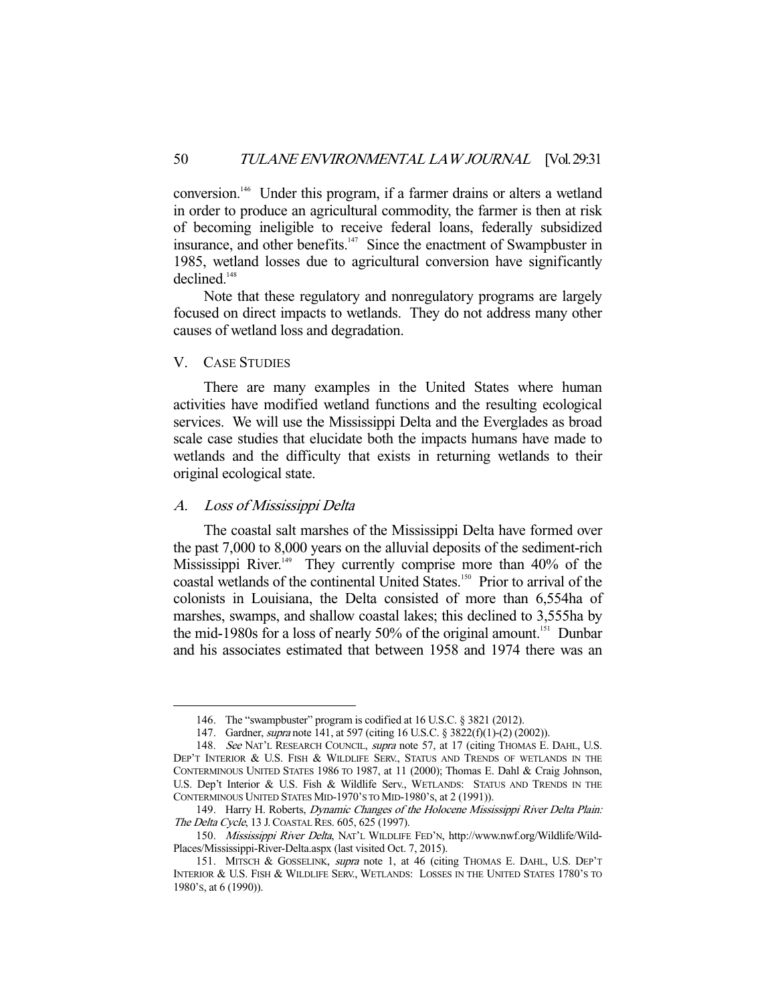conversion.146 Under this program, if a farmer drains or alters a wetland in order to produce an agricultural commodity, the farmer is then at risk of becoming ineligible to receive federal loans, federally subsidized insurance, and other benefits.<sup>147</sup> Since the enactment of Swampbuster in 1985, wetland losses due to agricultural conversion have significantly declined.<sup>148</sup>

 Note that these regulatory and nonregulatory programs are largely focused on direct impacts to wetlands. They do not address many other causes of wetland loss and degradation.

# V. CASE STUDIES

-

 There are many examples in the United States where human activities have modified wetland functions and the resulting ecological services. We will use the Mississippi Delta and the Everglades as broad scale case studies that elucidate both the impacts humans have made to wetlands and the difficulty that exists in returning wetlands to their original ecological state.

#### A. Loss of Mississippi Delta

 The coastal salt marshes of the Mississippi Delta have formed over the past 7,000 to 8,000 years on the alluvial deposits of the sediment-rich Mississippi River.<sup>149</sup> They currently comprise more than 40% of the coastal wetlands of the continental United States.150 Prior to arrival of the colonists in Louisiana, the Delta consisted of more than 6,554ha of marshes, swamps, and shallow coastal lakes; this declined to 3,555ha by the mid-1980s for a loss of nearly  $50\%$  of the original amount.<sup>151</sup> Dunbar and his associates estimated that between 1958 and 1974 there was an

 <sup>146.</sup> The "swampbuster" program is codified at 16 U.S.C. § 3821 (2012).

 <sup>147.</sup> Gardner, supra note 141, at 597 (citing 16 U.S.C. § 3822(f)(1)-(2) (2002)).

<sup>148.</sup> See NAT'L RESEARCH COUNCIL, supra note 57, at 17 (citing THOMAS E. DAHL, U.S. DEP'T INTERIOR & U.S. FISH & WILDLIFE SERV., STATUS AND TRENDS OF WETLANDS IN THE CONTERMINOUS UNITED STATES 1986 TO 1987, at 11 (2000); Thomas E. Dahl & Craig Johnson, U.S. Dep't Interior & U.S. Fish & Wildlife Serv., WETLANDS: STATUS AND TRENDS IN THE CONTERMINOUS UNITED STATES MID-1970'S TO MID-1980'S, at 2 (1991)).

<sup>149.</sup> Harry H. Roberts, *Dynamic Changes of the Holocene Mississippi River Delta Plain:* The Delta Cycle, 13 J.COASTAL RES. 605, 625 (1997).

 <sup>150.</sup> Mississippi River Delta, NAT'L WILDLIFE FED'N, http://www.nwf.org/Wildlife/Wild-Places/Mississippi-River-Delta.aspx (last visited Oct. 7, 2015).

<sup>151.</sup> MITSCH & GOSSELINK, supra note 1, at 46 (citing THOMAS E. DAHL, U.S. DEP'T INTERIOR & U.S. FISH & WILDLIFE SERV., WETLANDS: LOSSES IN THE UNITED STATES 1780'S TO 1980'S, at 6 (1990)).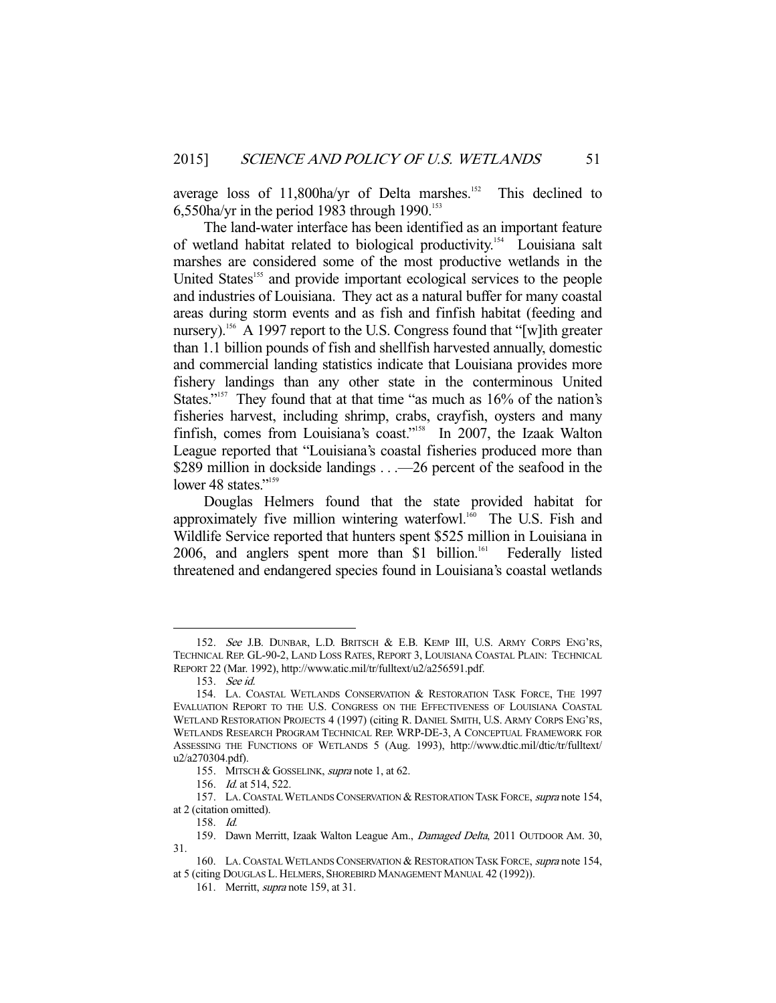average loss of  $11,800$ ha/yr of Delta marshes.<sup>152</sup> This declined to 6,550ha/yr in the period 1983 through 1990.<sup>153</sup>

 The land-water interface has been identified as an important feature of wetland habitat related to biological productivity.154 Louisiana salt marshes are considered some of the most productive wetlands in the United States<sup>155</sup> and provide important ecological services to the people and industries of Louisiana. They act as a natural buffer for many coastal areas during storm events and as fish and finfish habitat (feeding and nursery).<sup>156</sup> A 1997 report to the U.S. Congress found that "[w]ith greater than 1.1 billion pounds of fish and shellfish harvested annually, domestic and commercial landing statistics indicate that Louisiana provides more fishery landings than any other state in the conterminous United States."<sup>157</sup> They found that at that time "as much as 16% of the nation's fisheries harvest, including shrimp, crabs, crayfish, oysters and many finfish, comes from Louisiana's coast."<sup>158</sup> In 2007, the Izaak Walton League reported that "Louisiana's coastal fisheries produced more than \$289 million in dockside landings . . . -26 percent of the seafood in the lower 48 states."<sup>159</sup>

 Douglas Helmers found that the state provided habitat for approximately five million wintering waterfowl. $160$  The U.S. Fish and Wildlife Service reported that hunters spent \$525 million in Louisiana in 2006, and anglers spent more than \$1 billion.<sup>161</sup> Federally listed threatened and endangered species found in Louisiana's coastal wetlands

<sup>152.</sup> See J.B. DUNBAR, L.D. BRITSCH & E.B. KEMP III, U.S. ARMY CORPS ENG'RS, TECHNICAL REP. GL-90-2, LAND LOSS RATES, REPORT 3, LOUISIANA COASTAL PLAIN: TECHNICAL REPORT 22 (Mar. 1992), http://www.atic.mil/tr/fulltext/u2/a256591.pdf.

 <sup>153.</sup> See id.

 <sup>154.</sup> LA. COASTAL WETLANDS CONSERVATION & RESTORATION TASK FORCE, THE 1997 EVALUATION REPORT TO THE U.S. CONGRESS ON THE EFFECTIVENESS OF LOUISIANA COASTAL WETLAND RESTORATION PROJECTS 4 (1997) (citing R. DANIEL SMITH, U.S. ARMY CORPS ENG'RS, WETLANDS RESEARCH PROGRAM TECHNICAL REP. WRP-DE-3, A CONCEPTUAL FRAMEWORK FOR ASSESSING THE FUNCTIONS OF WETLANDS 5 (Aug. 1993), http://www.dtic.mil/dtic/tr/fulltext/ u2/a270304.pdf).

<sup>155.</sup> MITSCH & GOSSELINK, supra note 1, at 62.

<sup>156.</sup> *Id.* at 514, 522.

<sup>157.</sup> LA. COASTAL WETLANDS CONSERVATION & RESTORATION TASK FORCE, supra note 154, at 2 (citation omitted).

 <sup>158.</sup> Id.

<sup>159.</sup> Dawn Merritt, Izaak Walton League Am., Damaged Delta, 2011 OUTDOOR AM. 30, 31.

<sup>160.</sup> LA. COASTAL WETLANDS CONSERVATION & RESTORATION TASK FORCE, supra note 154, at 5 (citing DOUGLAS L. HELMERS, SHOREBIRD MANAGEMENT MANUAL 42 (1992)).

<sup>161.</sup> Merritt, *supra* note 159, at 31.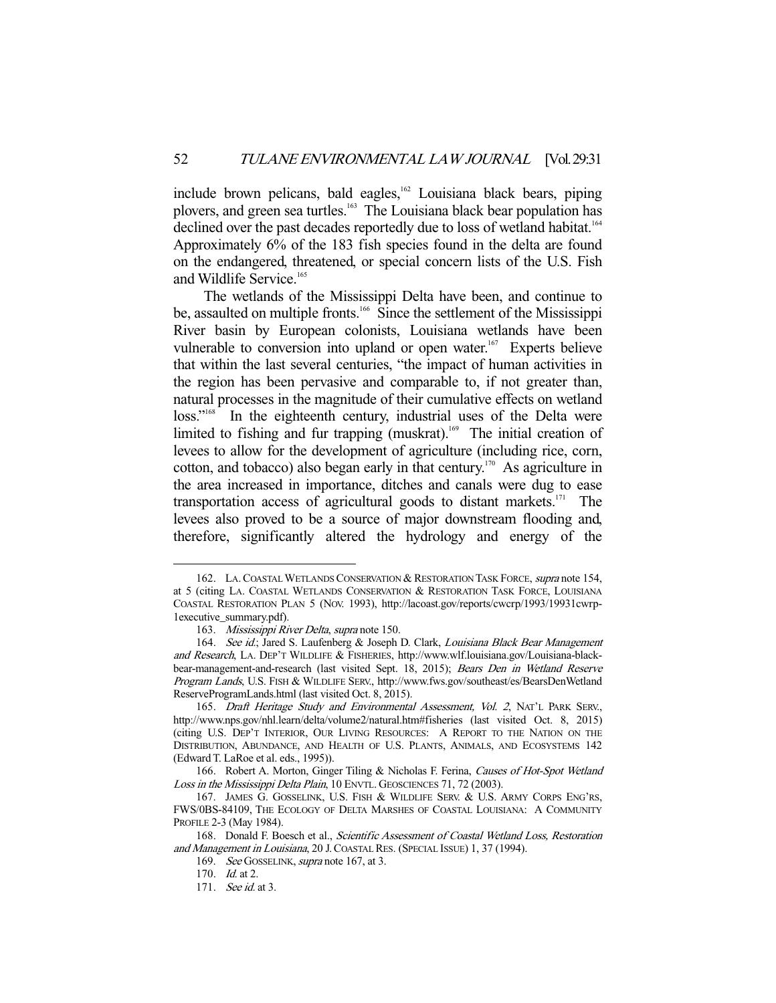include brown pelicans, bald eagles,<sup>162</sup> Louisiana black bears, piping plovers, and green sea turtles.<sup>163</sup> The Louisiana black bear population has declined over the past decades reportedly due to loss of wetland habitat.<sup>164</sup> Approximately 6% of the 183 fish species found in the delta are found on the endangered, threatened, or special concern lists of the U.S. Fish and Wildlife Service.<sup>165</sup>

 The wetlands of the Mississippi Delta have been, and continue to be, assaulted on multiple fronts.<sup>166</sup> Since the settlement of the Mississippi River basin by European colonists, Louisiana wetlands have been vulnerable to conversion into upland or open water.<sup>167</sup> Experts believe that within the last several centuries, "the impact of human activities in the region has been pervasive and comparable to, if not greater than, natural processes in the magnitude of their cumulative effects on wetland loss."<sup>168</sup> In the eighteenth century, industrial uses of the Delta were limited to fishing and fur trapping (muskrat).<sup>169</sup> The initial creation of levees to allow for the development of agriculture (including rice, corn, cotton, and tobacco) also began early in that century.<sup>170</sup> As agriculture in the area increased in importance, ditches and canals were dug to ease transportation access of agricultural goods to distant markets. $171$  The levees also proved to be a source of major downstream flooding and, therefore, significantly altered the hydrology and energy of the

<sup>162.</sup> LA. COASTAL WETLANDS CONSERVATION & RESTORATION TASK FORCE, supra note 154, at 5 (citing LA. COASTAL WETLANDS CONSERVATION & RESTORATION TASK FORCE, LOUISIANA COASTAL RESTORATION PLAN 5 (NOV. 1993), http://lacoast.gov/reports/cwcrp/1993/19931cwrp-1executive\_summary.pdf).

<sup>163.</sup> Mississippi River Delta, supra note 150.

<sup>164.</sup> See id.; Jared S. Laufenberg & Joseph D. Clark, Louisiana Black Bear Management and Research, LA. DEP'T WILDLIFE & FISHERIES, http://www.wlf.louisiana.gov/Louisiana-blackbear-management-and-research (last visited Sept. 18, 2015); Bears Den in Wetland Reserve Program Lands, U.S. FISH & WILDLIFE SERV., http://www.fws.gov/southeast/es/BearsDenWetland ReserveProgramLands.html (last visited Oct. 8, 2015).

<sup>165.</sup> Draft Heritage Study and Environmental Assessment, Vol. 2, NAT'L PARK SERV., http://www.nps.gov/nhl.learn/delta/volume2/natural.htm#fisheries (last visited Oct. 8, 2015) (citing U.S. DEP'T INTERIOR, OUR LIVING RESOURCES: A REPORT TO THE NATION ON THE DISTRIBUTION, ABUNDANCE, AND HEALTH OF U.S. PLANTS, ANIMALS, AND ECOSYSTEMS 142 (Edward T. LaRoe et al. eds., 1995)).

<sup>166.</sup> Robert A. Morton, Ginger Tiling & Nicholas F. Ferina, Causes of Hot-Spot Wetland Loss in the Mississippi Delta Plain, 10 ENVTL. GEOSCIENCES 71, 72 (2003).

 <sup>167.</sup> JAMES G. GOSSELINK, U.S. FISH & WILDLIFE SERV. & U.S. ARMY CORPS ENG'RS, FWS/0BS-84109, THE ECOLOGY OF DELTA MARSHES OF COASTAL LOUISIANA: A COMMUNITY PROFILE 2-3 (May 1984).

<sup>168.</sup> Donald F. Boesch et al., Scientific Assessment of Coastal Wetland Loss, Restoration and Management in Louisiana, 20 J.COASTAL RES. (SPECIAL ISSUE) 1, 37 (1994).

<sup>169.</sup> See GOSSELINK, supra note 167, at 3.

<sup>170.</sup> *Id.* at 2.

<sup>171.</sup> See id. at 3.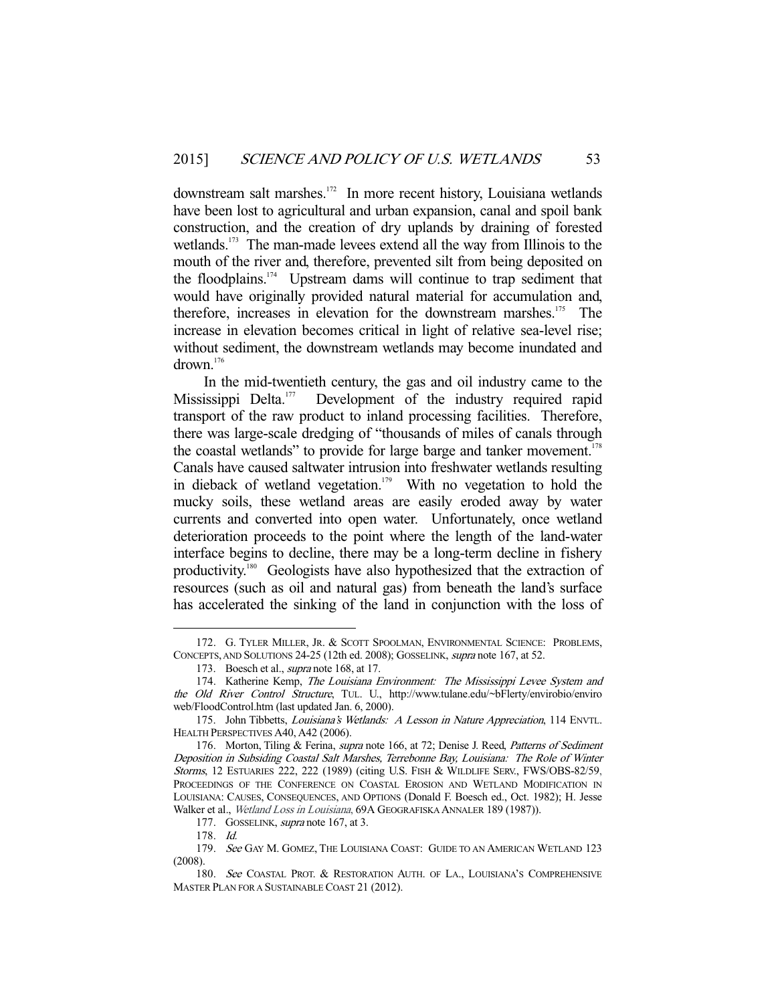downstream salt marshes.<sup>172</sup> In more recent history, Louisiana wetlands have been lost to agricultural and urban expansion, canal and spoil bank construction, and the creation of dry uplands by draining of forested wetlands.<sup>173</sup> The man-made levees extend all the way from Illinois to the mouth of the river and, therefore, prevented silt from being deposited on the floodplains.<sup>174</sup> Upstream dams will continue to trap sediment that would have originally provided natural material for accumulation and, therefore, increases in elevation for the downstream marshes.<sup>175</sup> The increase in elevation becomes critical in light of relative sea-level rise; without sediment, the downstream wetlands may become inundated and drown.176

 In the mid-twentieth century, the gas and oil industry came to the Mississippi Delta.<sup>177</sup> Development of the industry required rapid transport of the raw product to inland processing facilities. Therefore, there was large-scale dredging of "thousands of miles of canals through the coastal wetlands" to provide for large barge and tanker movement.<sup>178</sup> Canals have caused saltwater intrusion into freshwater wetlands resulting in dieback of wetland vegetation.<sup>179</sup> With no vegetation to hold the mucky soils, these wetland areas are easily eroded away by water currents and converted into open water. Unfortunately, once wetland deterioration proceeds to the point where the length of the land-water interface begins to decline, there may be a long-term decline in fishery productivity.<sup>180</sup> Geologists have also hypothesized that the extraction of resources (such as oil and natural gas) from beneath the land's surface has accelerated the sinking of the land in conjunction with the loss of

 <sup>172.</sup> G. TYLER MILLER, JR. & SCOTT SPOOLMAN, ENVIRONMENTAL SCIENCE: PROBLEMS, CONCEPTS, AND SOLUTIONS 24-25 (12th ed. 2008); GOSSELINK, supra note 167, at 52.

<sup>173.</sup> Boesch et al., *supra* note 168, at 17.

<sup>174.</sup> Katherine Kemp, The Louisiana Environment: The Mississippi Levee System and the Old River Control Structure, TUL. U., http://www.tulane.edu/~bFlerty/envirobio/enviro web/FloodControl.htm (last updated Jan. 6, 2000).

<sup>175.</sup> John Tibbetts, Louisiana's Wetlands: A Lesson in Nature Appreciation, 114 ENVTL. HEALTH PERSPECTIVES A40, A42 (2006).

<sup>176.</sup> Morton, Tiling & Ferina, *supra* note 166, at 72; Denise J. Reed, *Patterns of Sediment* Deposition in Subsiding Coastal Salt Marshes, Terrebonne Bay, Louisiana: The Role of Winter Storms, 12 ESTUARIES 222, 222 (1989) (citing U.S. FISH & WILDLIFE SERV., FWS/OBS-82/59, PROCEEDINGS OF THE CONFERENCE ON COASTAL EROSION AND WETLAND MODIFICATION IN LOUISIANA: CAUSES, CONSEQUENCES, AND OPTIONS (Donald F. Boesch ed., Oct. 1982); H. Jesse Walker et al., Wetland Loss in Louisiana, 69A GEOGRAFISKA ANNALER 189 (1987)).

<sup>177.</sup> GOSSELINK, supra note 167, at 3.

 <sup>178.</sup> Id.

<sup>179.</sup> See GAY M. GOMEZ, THE LOUISIANA COAST: GUIDE TO AN AMERICAN WETLAND 123 (2008).

<sup>180.</sup> See COASTAL PROT. & RESTORATION AUTH. OF LA., LOUISIANA'S COMPREHENSIVE MASTER PLAN FOR A SUSTAINABLE COAST 21 (2012).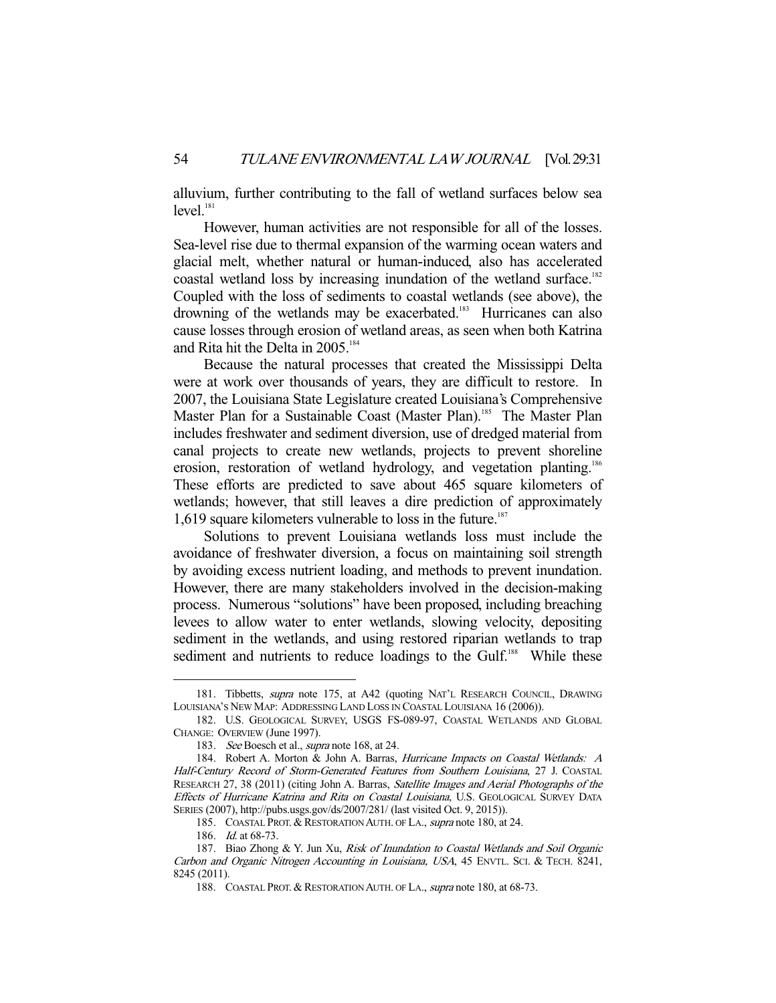alluvium, further contributing to the fall of wetland surfaces below sea level.<sup>181</sup>

 However, human activities are not responsible for all of the losses. Sea-level rise due to thermal expansion of the warming ocean waters and glacial melt, whether natural or human-induced, also has accelerated coastal wetland loss by increasing inundation of the wetland surface.<sup>182</sup> Coupled with the loss of sediments to coastal wetlands (see above), the drowning of the wetlands may be exacerbated.<sup>183</sup> Hurricanes can also cause losses through erosion of wetland areas, as seen when both Katrina and Rita hit the Delta in 2005.<sup>184</sup>

 Because the natural processes that created the Mississippi Delta were at work over thousands of years, they are difficult to restore. In 2007, the Louisiana State Legislature created Louisiana's Comprehensive Master Plan for a Sustainable Coast (Master Plan).<sup>185</sup> The Master Plan includes freshwater and sediment diversion, use of dredged material from canal projects to create new wetlands, projects to prevent shoreline erosion, restoration of wetland hydrology, and vegetation planting.<sup>186</sup> These efforts are predicted to save about 465 square kilometers of wetlands; however, that still leaves a dire prediction of approximately 1,619 square kilometers vulnerable to loss in the future.<sup>187</sup>

 Solutions to prevent Louisiana wetlands loss must include the avoidance of freshwater diversion, a focus on maintaining soil strength by avoiding excess nutrient loading, and methods to prevent inundation. However, there are many stakeholders involved in the decision-making process. Numerous "solutions" have been proposed, including breaching levees to allow water to enter wetlands, slowing velocity, depositing sediment in the wetlands, and using restored riparian wetlands to trap sediment and nutrients to reduce loadings to the Gulf.<sup>188</sup> While these

<sup>181.</sup> Tibbetts, *supra* note 175, at A42 (quoting NAT'L RESEARCH COUNCIL, DRAWING LOUISIANA'S NEW MAP: ADDRESSING LAND LOSS IN COASTAL LOUISIANA 16 (2006)).

 <sup>182.</sup> U.S. GEOLOGICAL SURVEY, USGS FS-089-97, COASTAL WETLANDS AND GLOBAL CHANGE: OVERVIEW (June 1997).

<sup>183.</sup> See Boesch et al., *supra* note 168, at 24.

<sup>184.</sup> Robert A. Morton & John A. Barras, Hurricane Impacts on Coastal Wetlands: A Half-Century Record of Storm-Generated Features from Southern Louisiana, 27 J. COASTAL RESEARCH 27, 38 (2011) (citing John A. Barras, Satellite Images and Aerial Photographs of the Effects of Hurricane Katrina and Rita on Coastal Louisiana, U.S. GEOLOGICAL SURVEY DATA SERIES (2007), http://pubs.usgs.gov/ds/2007/281/ (last visited Oct. 9, 2015)).

<sup>185.</sup> COASTAL PROT. & RESTORATION AUTH. OF LA., supra note 180, at 24.

 <sup>186.</sup> Id. at 68-73.

 <sup>187.</sup> Biao Zhong & Y. Jun Xu, Risk of Inundation to Coastal Wetlands and Soil Organic Carbon and Organic Nitrogen Accounting in Louisiana, USA, 45 ENVTL. SCI. & TECH. 8241, 8245 (2011).

<sup>188.</sup> COASTAL PROT. & RESTORATION AUTH. OF LA., supra note 180, at 68-73.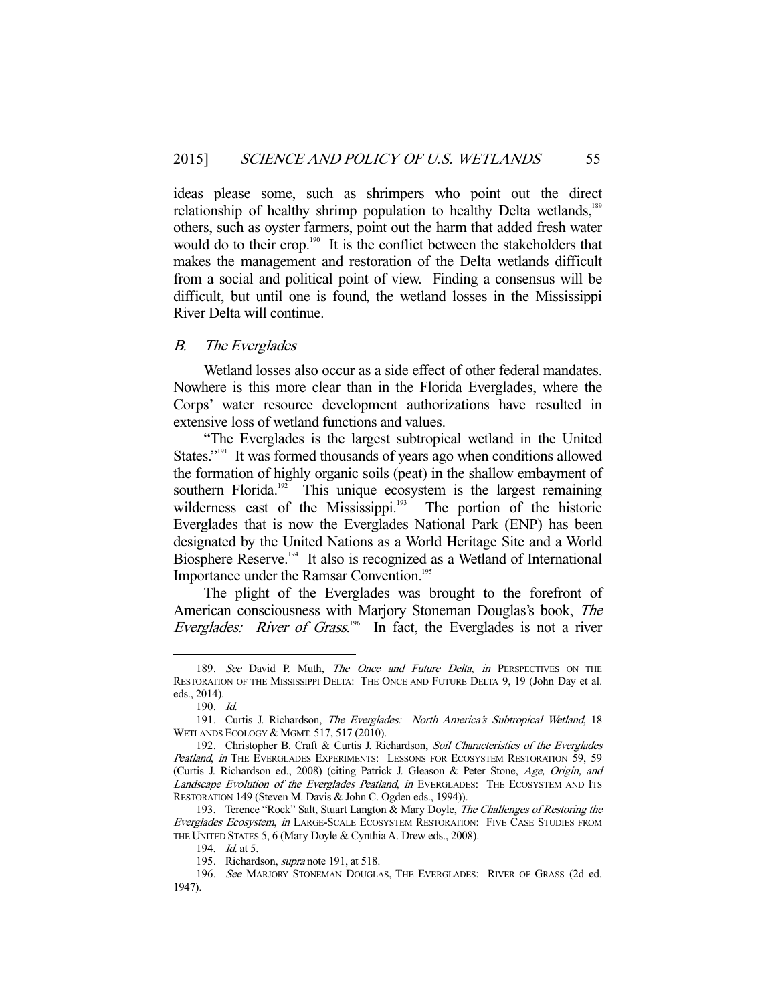ideas please some, such as shrimpers who point out the direct relationship of healthy shrimp population to healthy Delta wetlands,<sup>189</sup> others, such as oyster farmers, point out the harm that added fresh water would do to their crop.<sup>190</sup> It is the conflict between the stakeholders that makes the management and restoration of the Delta wetlands difficult from a social and political point of view. Finding a consensus will be difficult, but until one is found, the wetland losses in the Mississippi River Delta will continue.

# B. The Everglades

 Wetland losses also occur as a side effect of other federal mandates. Nowhere is this more clear than in the Florida Everglades, where the Corps' water resource development authorizations have resulted in extensive loss of wetland functions and values.

 "The Everglades is the largest subtropical wetland in the United States."<sup>191</sup> It was formed thousands of years ago when conditions allowed the formation of highly organic soils (peat) in the shallow embayment of southern Florida.<sup>192</sup> This unique ecosystem is the largest remaining wilderness east of the Mississippi.<sup>193</sup> The portion of the historic Everglades that is now the Everglades National Park (ENP) has been designated by the United Nations as a World Heritage Site and a World Biosphere Reserve.<sup>194</sup> It also is recognized as a Wetland of International Importance under the Ramsar Convention.<sup>195</sup>

 The plight of the Everglades was brought to the forefront of American consciousness with Marjory Stoneman Douglas's book, The Everglades: River of Grass.<sup>196</sup> In fact, the Everglades is not a river

<sup>189.</sup> See David P. Muth, The Once and Future Delta, in PERSPECTIVES ON THE RESTORATION OF THE MISSISSIPPI DELTA: THE ONCE AND FUTURE DELTA 9, 19 (John Day et al. eds., 2014).

 <sup>190.</sup> Id.

 <sup>191.</sup> Curtis J. Richardson, The Everglades: North America's Subtropical Wetland, 18 WETLANDS ECOLOGY & MGMT. 517, 517 (2010).

<sup>192.</sup> Christopher B. Craft & Curtis J. Richardson, Soil Characteristics of the Everglades Peatland, in THE EVERGLADES EXPERIMENTS: LESSONS FOR ECOSYSTEM RESTORATION 59, 59 (Curtis J. Richardson ed., 2008) (citing Patrick J. Gleason & Peter Stone, Age, Origin, and Landscape Evolution of the Everglades Peatland, in EVERGLADES: THE ECOSYSTEM AND ITS RESTORATION 149 (Steven M. Davis & John C. Ogden eds., 1994)).

<sup>193.</sup> Terence "Rock" Salt, Stuart Langton & Mary Doyle, The Challenges of Restoring the Everglades Ecosystem, in LARGE-SCALE ECOSYSTEM RESTORATION: FIVE CASE STUDIES FROM THE UNITED STATES 5, 6 (Mary Doyle & Cynthia A. Drew eds., 2008).

<sup>194.</sup> *Id.* at 5.

<sup>195.</sup> Richardson, *supra* note 191, at 518.

<sup>196.</sup> See MARJORY STONEMAN DOUGLAS, THE EVERGLADES: RIVER OF GRASS (2d ed. 1947).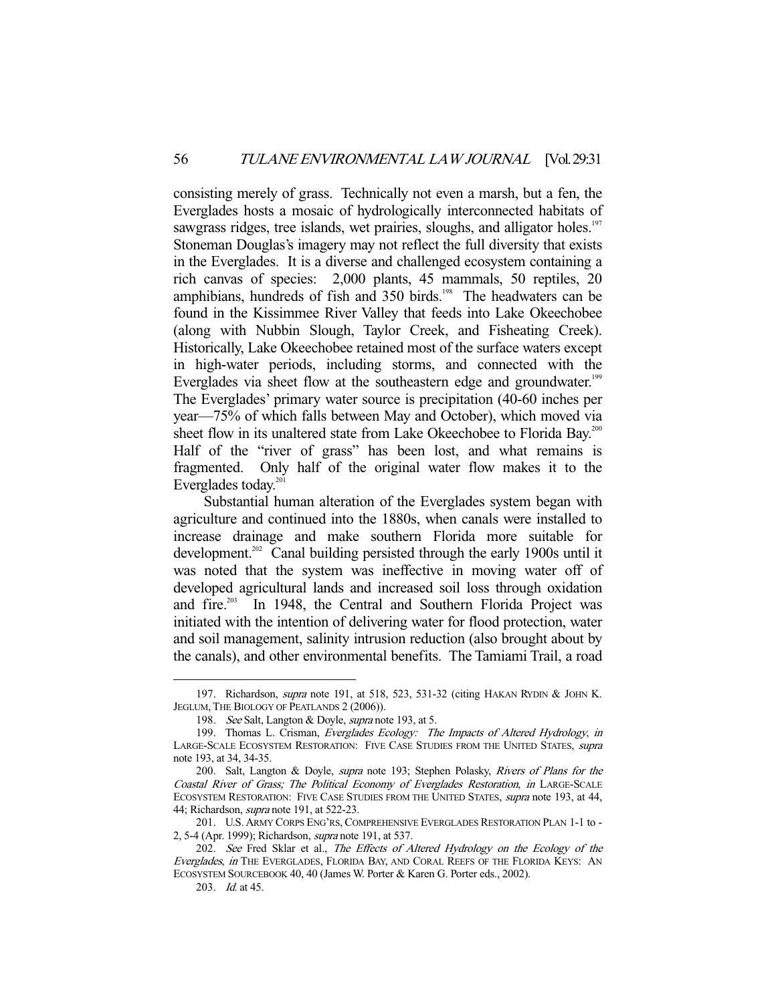consisting merely of grass. Technically not even a marsh, but a fen, the Everglades hosts a mosaic of hydrologically interconnected habitats of sawgrass ridges, tree islands, wet prairies, sloughs, and alligator holes.<sup>197</sup> Stoneman Douglas's imagery may not reflect the full diversity that exists in the Everglades. It is a diverse and challenged ecosystem containing a rich canvas of species: 2,000 plants, 45 mammals, 50 reptiles, 20 amphibians, hundreds of fish and 350 birds.<sup>198</sup> The headwaters can be found in the Kissimmee River Valley that feeds into Lake Okeechobee (along with Nubbin Slough, Taylor Creek, and Fisheating Creek). Historically, Lake Okeechobee retained most of the surface waters except in high-water periods, including storms, and connected with the Everglades via sheet flow at the southeastern edge and groundwater.<sup>199</sup> The Everglades' primary water source is precipitation (40-60 inches per year—75% of which falls between May and October), which moved via sheet flow in its unaltered state from Lake Okeechobee to Florida Bay.<sup>200</sup> Half of the "river of grass" has been lost, and what remains is fragmented. Only half of the original water flow makes it to the Everglades today.<sup>201</sup>

 Substantial human alteration of the Everglades system began with agriculture and continued into the 1880s, when canals were installed to increase drainage and make southern Florida more suitable for development.<sup>202</sup> Canal building persisted through the early 1900s until it was noted that the system was ineffective in moving water off of developed agricultural lands and increased soil loss through oxidation and fire.<sup>203</sup> In 1948, the Central and Southern Florida Project was initiated with the intention of delivering water for flood protection, water and soil management, salinity intrusion reduction (also brought about by the canals), and other environmental benefits. The Tamiami Trail, a road

<sup>197.</sup> Richardson, *supra* note 191, at 518, 523, 531-32 (citing HAKAN RYDIN & JOHN K. JEGLUM, THE BIOLOGY OF PEATLANDS 2 (2006)).

 <sup>198.</sup> See Salt, Langton & Doyle, supra note 193, at 5.

<sup>199.</sup> Thomas L. Crisman, Everglades Ecology: The Impacts of Altered Hydrology, in LARGE-SCALE ECOSYSTEM RESTORATION: FIVE CASE STUDIES FROM THE UNITED STATES, supra note 193, at 34, 34-35.

 <sup>200.</sup> Salt, Langton & Doyle, supra note 193; Stephen Polasky, Rivers of Plans for the Coastal River of Grass; The Political Economy of Everglades Restoration, in LARGE-SCALE ECOSYSTEM RESTORATION: FIVE CASE STUDIES FROM THE UNITED STATES, supra note 193, at 44, 44; Richardson, supra note 191, at 522-23.

 <sup>201.</sup> U.S.ARMY CORPS ENG'RS, COMPREHENSIVE EVERGLADES RESTORATION PLAN 1-1 to - 2, 5-4 (Apr. 1999); Richardson, supra note 191, at 537.

<sup>202.</sup> See Fred Sklar et al., The Effects of Altered Hydrology on the Ecology of the Everglades, in THE EVERGLADES, FLORIDA BAY, AND CORAL REEFS OF THE FLORIDA KEYS: AN ECOSYSTEM SOURCEBOOK 40, 40 (James W. Porter & Karen G. Porter eds., 2002).

 <sup>203.</sup> Id. at 45.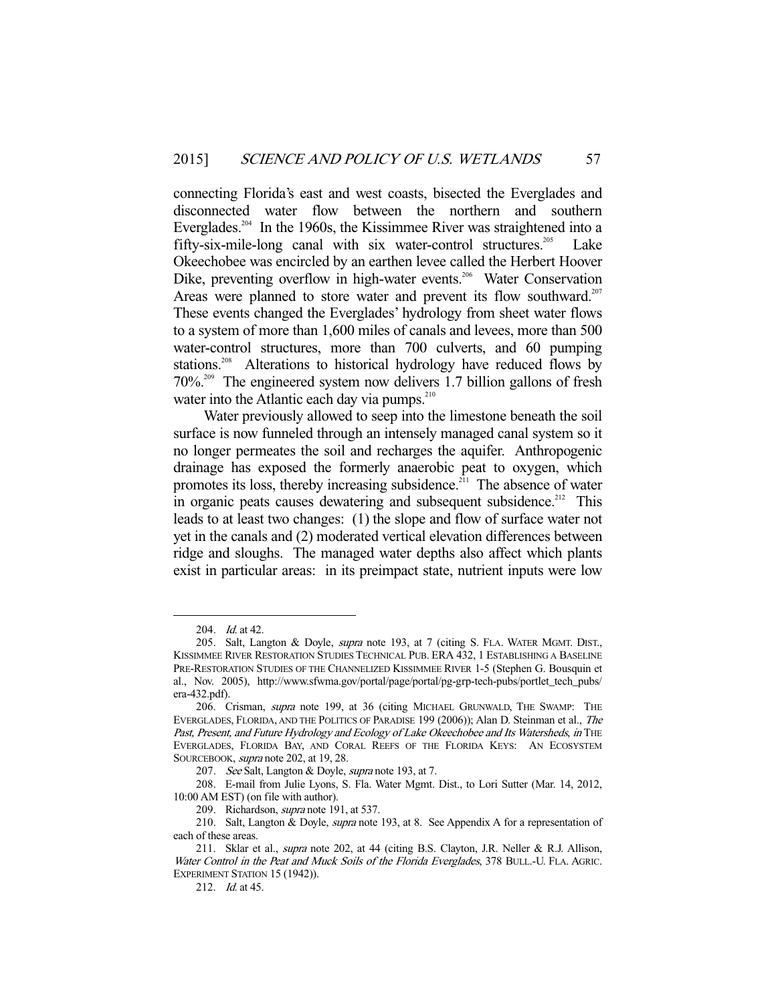connecting Florida's east and west coasts, bisected the Everglades and disconnected water flow between the northern and southern Everglades.<sup>204</sup> In the 1960s, the Kissimmee River was straightened into a fifty-six-mile-long canal with six water-control structures.<sup>205</sup> Lake Okeechobee was encircled by an earthen levee called the Herbert Hoover Dike, preventing overflow in high-water events.<sup>206</sup> Water Conservation Areas were planned to store water and prevent its flow southward.<sup>207</sup> These events changed the Everglades' hydrology from sheet water flows to a system of more than 1,600 miles of canals and levees, more than 500 water-control structures, more than 700 culverts, and 60 pumping stations.<sup>208</sup> Alterations to historical hydrology have reduced flows by 70%.209 The engineered system now delivers 1.7 billion gallons of fresh water into the Atlantic each day via pumps. $210$ 

 Water previously allowed to seep into the limestone beneath the soil surface is now funneled through an intensely managed canal system so it no longer permeates the soil and recharges the aquifer. Anthropogenic drainage has exposed the formerly anaerobic peat to oxygen, which promotes its loss, thereby increasing subsidence.<sup>211</sup> The absence of water in organic peats causes dewatering and subsequent subsidence.<sup>212</sup> This leads to at least two changes: (1) the slope and flow of surface water not yet in the canals and (2) moderated vertical elevation differences between ridge and sloughs. The managed water depths also affect which plants exist in particular areas: in its preimpact state, nutrient inputs were low

 <sup>204.</sup> Id. at 42.

 <sup>205.</sup> Salt, Langton & Doyle, supra note 193, at 7 (citing S. FLA. WATER MGMT. DIST., KISSIMMEE RIVER RESTORATION STUDIES TECHNICAL PUB. ERA 432, 1 ESTABLISHING A BASELINE PRE-RESTORATION STUDIES OF THE CHANNELIZED KISSIMMEE RIVER 1-5 (Stephen G. Bousquin et al., Nov. 2005), http://www.sfwma.gov/portal/page/portal/pg-grp-tech-pubs/portlet\_tech\_pubs/ era-432.pdf).

 <sup>206.</sup> Crisman, supra note 199, at 36 (citing MICHAEL GRUNWALD, THE SWAMP: THE EVERGLADES, FLORIDA, AND THE POLITICS OF PARADISE 199 (2006)); Alan D. Steinman et al., The Past, Present, and Future Hydrology and Ecology of Lake Okeechobee and Its Watersheds, in THE EVERGLADES, FLORIDA BAY, AND CORAL REEFS OF THE FLORIDA KEYS: AN ECOSYSTEM SOURCEBOOK, supra note 202, at 19, 28.

<sup>207.</sup> See Salt, Langton & Doyle, supra note 193, at 7.

 <sup>208.</sup> E-mail from Julie Lyons, S. Fla. Water Mgmt. Dist., to Lori Sutter (Mar. 14, 2012, 10:00 AM EST) (on file with author).

<sup>209.</sup> Richardson, *supra* note 191, at 537.

<sup>210.</sup> Salt, Langton & Doyle, *supra* note 193, at 8. See Appendix A for a representation of each of these areas.

<sup>211.</sup> Sklar et al., *supra* note 202, at 44 (citing B.S. Clayton, J.R. Neller & R.J. Allison, Water Control in the Peat and Muck Soils of the Florida Everglades, 378 BULL.-U. FLA. AGRIC. EXPERIMENT STATION 15 (1942)).

<sup>212.</sup> *Id.* at 45.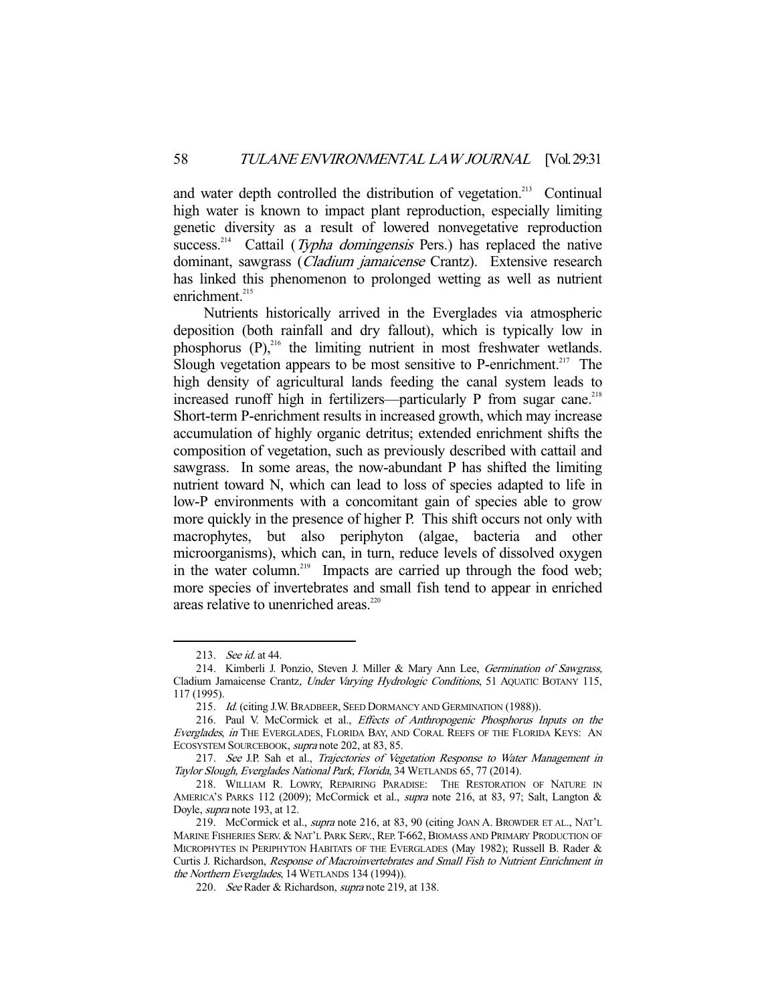and water depth controlled the distribution of vegetation.<sup>213</sup> Continual high water is known to impact plant reproduction, especially limiting genetic diversity as a result of lowered nonvegetative reproduction success.<sup>214</sup> Cattail (Typha domingensis Pers.) has replaced the native dominant, sawgrass (*Cladium jamaicense* Crantz). Extensive research has linked this phenomenon to prolonged wetting as well as nutrient enrichment.<sup>215</sup>

 Nutrients historically arrived in the Everglades via atmospheric deposition (both rainfall and dry fallout), which is typically low in phosphorus  $(P)$ ,<sup>216</sup> the limiting nutrient in most freshwater wetlands. Slough vegetation appears to be most sensitive to P-enrichment.<sup>217</sup> The high density of agricultural lands feeding the canal system leads to increased runoff high in fertilizers—particularly P from sugar cane.<sup>218</sup> Short-term P-enrichment results in increased growth, which may increase accumulation of highly organic detritus; extended enrichment shifts the composition of vegetation, such as previously described with cattail and sawgrass. In some areas, the now-abundant P has shifted the limiting nutrient toward N, which can lead to loss of species adapted to life in low-P environments with a concomitant gain of species able to grow more quickly in the presence of higher P. This shift occurs not only with macrophytes, but also periphyton (algae, bacteria and other microorganisms), which can, in turn, reduce levels of dissolved oxygen in the water column.<sup>219</sup> Impacts are carried up through the food web; more species of invertebrates and small fish tend to appear in enriched areas relative to unenriched areas.<sup>220</sup>

 <sup>213.</sup> See id. at 44.

<sup>214.</sup> Kimberli J. Ponzio, Steven J. Miller & Mary Ann Lee, Germination of Sawgrass, Cladium Jamaicense Crantz, Under Varying Hydrologic Conditions, 51 AQUATIC BOTANY 115, 117 (1995).

<sup>215.</sup> Id. (citing J.W. BRADBEER, SEED DORMANCY AND GERMINATION (1988)).

 <sup>216.</sup> Paul V. McCormick et al., Effects of Anthropogenic Phosphorus Inputs on the Everglades, in THE EVERGLADES, FLORIDA BAY, AND CORAL REEFS OF THE FLORIDA KEYS: AN ECOSYSTEM SOURCEBOOK, supra note 202, at 83, 85.

 <sup>217.</sup> See J.P. Sah et al., Trajectories of Vegetation Response to Water Management in Taylor Slough, Everglades National Park, Florida, 34 WETLANDS 65, 77 (2014).

 <sup>218.</sup> WILLIAM R. LOWRY, REPAIRING PARADISE: THE RESTORATION OF NATURE IN AMERICA'S PARKS 112 (2009); McCormick et al., supra note 216, at 83, 97; Salt, Langton & Doyle, supra note 193, at 12.

 <sup>219.</sup> McCormick et al., supra note 216, at 83, 90 (citing JOAN A. BROWDER ET AL., NAT'L MARINE FISHERIES SERV. & NAT'L PARK SERV., REP.T-662, BIOMASS AND PRIMARY PRODUCTION OF MICROPHYTES IN PERIPHYTON HABITATS OF THE EVERGLADES (May 1982); Russell B. Rader & Curtis J. Richardson, Response of Macroinvertebrates and Small Fish to Nutrient Enrichment in the Northern Everglades, 14 WETLANDS 134 (1994)).

<sup>220.</sup> See Rader & Richardson, *supra* note 219, at 138.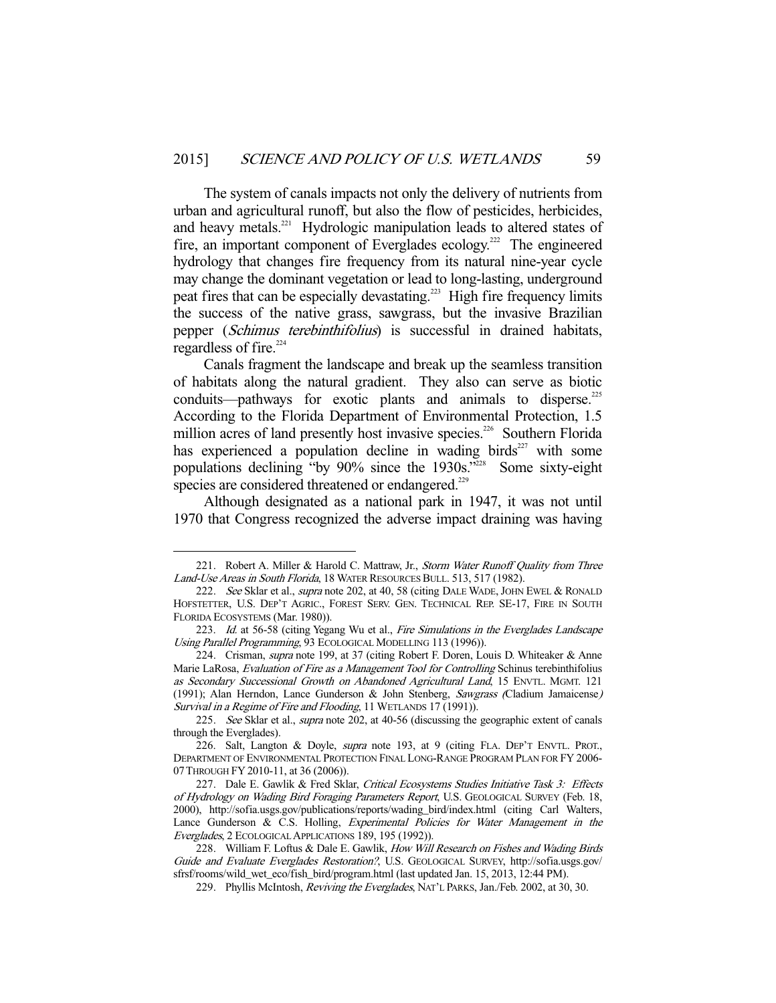The system of canals impacts not only the delivery of nutrients from urban and agricultural runoff, but also the flow of pesticides, herbicides, and heavy metals.<sup>221</sup> Hydrologic manipulation leads to altered states of fire, an important component of Everglades ecology.<sup>222</sup> The engineered hydrology that changes fire frequency from its natural nine-year cycle may change the dominant vegetation or lead to long-lasting, underground peat fires that can be especially devastating.<sup>223</sup> High fire frequency limits the success of the native grass, sawgrass, but the invasive Brazilian pepper (Schimus terebinthifolius) is successful in drained habitats, regardless of fire.<sup>224</sup>

 Canals fragment the landscape and break up the seamless transition of habitats along the natural gradient. They also can serve as biotic conduits—pathways for exotic plants and animals to disperse.<sup>225</sup> According to the Florida Department of Environmental Protection, 1.5 million acres of land presently host invasive species.<sup>226</sup> Southern Florida has experienced a population decline in wading birds<sup>227</sup> with some populations declining "by 90% since the 1930s."<sup>228</sup> Some sixty-eight species are considered threatened or endangered.<sup>229</sup>

 Although designated as a national park in 1947, it was not until 1970 that Congress recognized the adverse impact draining was having

<sup>221.</sup> Robert A. Miller & Harold C. Mattraw, Jr., Storm Water Runoff Quality from Three Land-Use Areas in South Florida, 18 WATER RESOURCES BULL. 513, 517 (1982).

<sup>222.</sup> See Sklar et al., supra note 202, at 40, 58 (citing DALE WADE, JOHN EWEL & RONALD HOFSTETTER, U.S. DEP'T AGRIC., FOREST SERV. GEN. TECHNICAL REP. SE-17, FIRE IN SOUTH FLORIDA ECOSYSTEMS (Mar. 1980)).

<sup>223.</sup> Id. at 56-58 (citing Yegang Wu et al., Fire Simulations in the Everglades Landscape Using Parallel Programming, 93 ECOLOGICAL MODELLING 113 (1996)).

<sup>224.</sup> Crisman, *supra* note 199, at 37 (citing Robert F. Doren, Louis D. Whiteaker & Anne Marie LaRosa, Evaluation of Fire as a Management Tool for Controlling Schinus terebinthifolius as Secondary Successional Growth on Abandoned Agricultural Land, 15 ENVTL. MGMT. 121 (1991); Alan Herndon, Lance Gunderson & John Stenberg, Sawgrass (Cladium Jamaicense) Survival in a Regime of Fire and Flooding, 11 WETLANDS 17 (1991)).

<sup>225.</sup> See Sklar et al., supra note 202, at 40-56 (discussing the geographic extent of canals through the Everglades).

<sup>226.</sup> Salt, Langton & Doyle, *supra* note 193, at 9 (citing FLA. DEP'T ENVTL. PROT., DEPARTMENT OF ENVIRONMENTAL PROTECTION FINAL LONG-RANGE PROGRAM PLAN FOR FY 2006- 07THROUGH FY 2010-11, at 36 (2006)).

<sup>227.</sup> Dale E. Gawlik & Fred Sklar, Critical Ecosystems Studies Initiative Task 3: Effects of Hydrology on Wading Bird Foraging Parameters Report, U.S. GEOLOGICAL SURVEY (Feb. 18, 2000), http://sofia.usgs.gov/publications/reports/wading\_bird/index.html (citing Carl Walters, Lance Gunderson & C.S. Holling, Experimental Policies for Water Management in the Everglades, 2 ECOLOGICAL APPLICATIONS 189, 195 (1992)).

<sup>228.</sup> William F. Loftus & Dale E. Gawlik, How Will Research on Fishes and Wading Birds Guide and Evaluate Everglades Restoration?, U.S. GEOLOGICAL SURVEY, http://sofia.usgs.gov/ sfrsf/rooms/wild\_wet\_eco/fish\_bird/program.html (last updated Jan. 15, 2013, 12:44 PM).

<sup>229.</sup> Phyllis McIntosh, Reviving the Everglades, NAT'L PARKS, Jan./Feb. 2002, at 30, 30.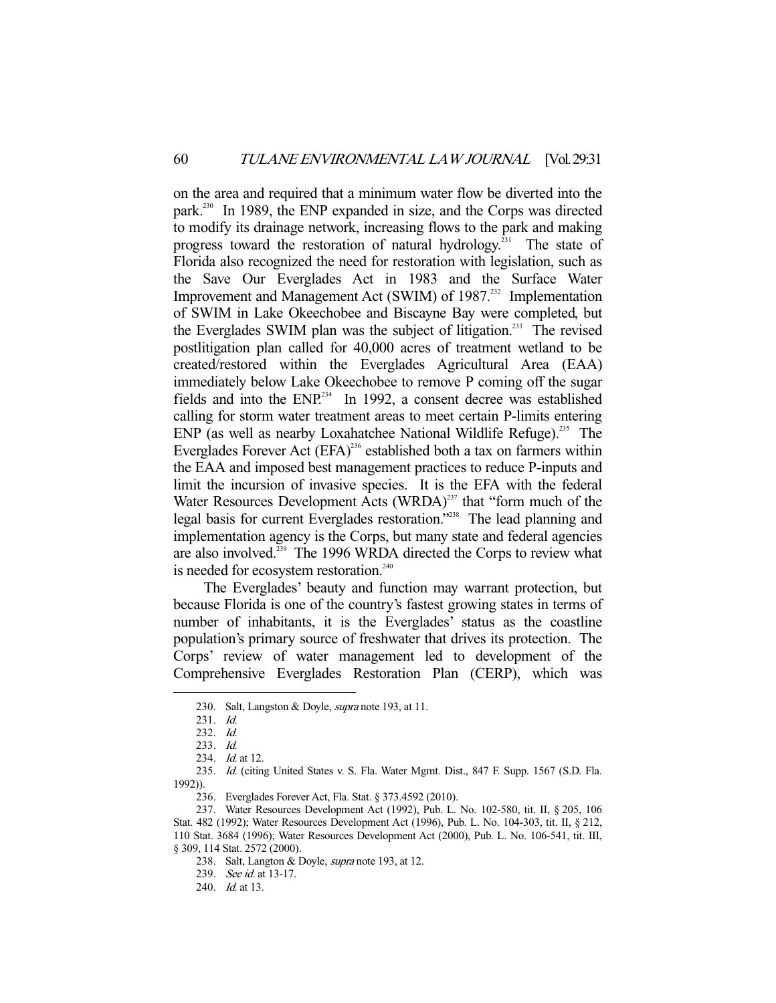on the area and required that a minimum water flow be diverted into the park.<sup>230</sup> In 1989, the ENP expanded in size, and the Corps was directed to modify its drainage network, increasing flows to the park and making progress toward the restoration of natural hydrology.<sup>231</sup> The state of Florida also recognized the need for restoration with legislation, such as the Save Our Everglades Act in 1983 and the Surface Water Improvement and Management Act (SWIM) of 1987.<sup>232</sup> Implementation of SWIM in Lake Okeechobee and Biscayne Bay were completed, but the Everglades SWIM plan was the subject of litigation.<sup>233</sup> The revised postlitigation plan called for 40,000 acres of treatment wetland to be created/restored within the Everglades Agricultural Area (EAA) immediately below Lake Okeechobee to remove P coming off the sugar fields and into the  $ENP^{234}$  In 1992, a consent decree was established calling for storm water treatment areas to meet certain P-limits entering ENP (as well as nearby Loxahatchee National Wildlife Refuge).<sup>235</sup> The Everglades Forever Act  $(EFA)^{236}$  established both a tax on farmers within the EAA and imposed best management practices to reduce P-inputs and limit the incursion of invasive species. It is the EFA with the federal Water Resources Development Acts  $(WRDA)^{237}$  that "form much of the legal basis for current Everglades restoration."<sup>238</sup> The lead planning and implementation agency is the Corps, but many state and federal agencies are also involved.<sup>239</sup> The 1996 WRDA directed the Corps to review what is needed for ecosystem restoration.<sup>240</sup>

 The Everglades' beauty and function may warrant protection, but because Florida is one of the country's fastest growing states in terms of number of inhabitants, it is the Everglades' status as the coastline population's primary source of freshwater that drives its protection. The Corps' review of water management led to development of the Comprehensive Everglades Restoration Plan (CERP), which was

<sup>230.</sup> Salt, Langston & Doyle, *supra* note 193, at 11.

 <sup>231.</sup> Id.

 <sup>232.</sup> Id.

 <sup>233.</sup> Id.

<sup>234.</sup> *Id.* at 12.

 <sup>235.</sup> Id. (citing United States v. S. Fla. Water Mgmt. Dist., 847 F. Supp. 1567 (S.D. Fla. 1992)).

 <sup>236.</sup> Everglades Forever Act, Fla. Stat. § 373.4592 (2010).

 <sup>237.</sup> Water Resources Development Act (1992), Pub. L. No. 102-580, tit. II, § 205, 106 Stat. 482 (1992); Water Resources Development Act (1996), Pub. L. No. 104-303, tit. II, § 212, 110 Stat. 3684 (1996); Water Resources Development Act (2000), Pub. L. No. 106-541, tit. III, § 309, 114 Stat. 2572 (2000).

<sup>238.</sup> Salt, Langton & Doyle, *supra* note 193, at 12.

<sup>239.</sup> See id. at 13-17.

<sup>240.</sup> *Id.* at 13.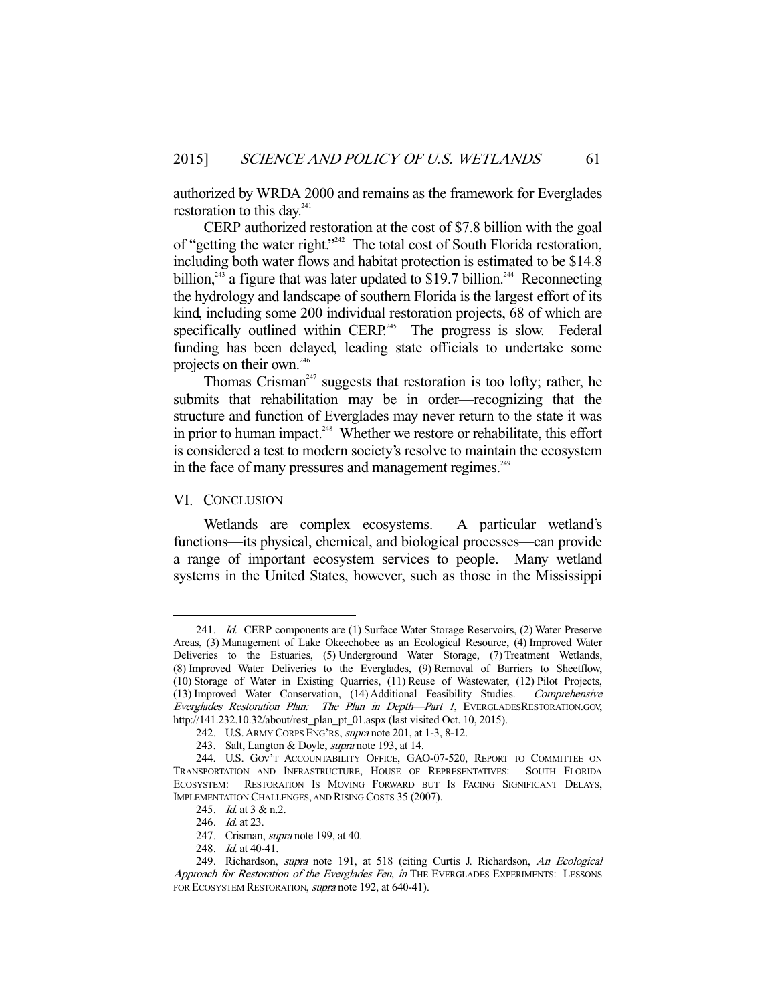authorized by WRDA 2000 and remains as the framework for Everglades restoration to this day. $241$ 

 CERP authorized restoration at the cost of \$7.8 billion with the goal of "getting the water right."242 The total cost of South Florida restoration, including both water flows and habitat protection is estimated to be \$14.8 billion,<sup>243</sup> a figure that was later updated to \$19.7 billion.<sup>244</sup> Reconnecting the hydrology and landscape of southern Florida is the largest effort of its kind, including some 200 individual restoration projects, 68 of which are specifically outlined within  $CERP<sup>245</sup>$  The progress is slow. Federal funding has been delayed, leading state officials to undertake some projects on their own.<sup>246</sup>

Thomas Crisman<sup>247</sup> suggests that restoration is too lofty; rather, he submits that rehabilitation may be in order—recognizing that the structure and function of Everglades may never return to the state it was in prior to human impact.<sup>248</sup> Whether we restore or rehabilitate, this effort is considered a test to modern society's resolve to maintain the ecosystem in the face of many pressures and management regimes. $249$ 

# VI. CONCLUSION

-

 Wetlands are complex ecosystems. A particular wetland's functions—its physical, chemical, and biological processes—can provide a range of important ecosystem services to people. Many wetland systems in the United States, however, such as those in the Mississippi

 <sup>241.</sup> Id. CERP components are (1) Surface Water Storage Reservoirs, (2) Water Preserve Areas, (3) Management of Lake Okeechobee as an Ecological Resource, (4) Improved Water Deliveries to the Estuaries, (5) Underground Water Storage, (7) Treatment Wetlands, (8) Improved Water Deliveries to the Everglades, (9) Removal of Barriers to Sheetflow, (10) Storage of Water in Existing Quarries, (11) Reuse of Wastewater, (12) Pilot Projects, (13) Improved Water Conservation, (14) Additional Feasibility Studies. Comprehensive Everglades Restoration Plan: The Plan in Depth—Part 1, EVERGLADESRESTORATION.GOV, http://141.232.10.32/about/rest\_plan\_pt\_01.aspx (last visited Oct. 10, 2015).

 <sup>242.</sup> U.S.ARMY CORPS ENG'RS, supra note 201, at 1-3, 8-12.

 <sup>243.</sup> Salt, Langton & Doyle, supra note 193, at 14.

<sup>244.</sup> U.S. GOV'T ACCOUNTABILITY OFFICE, GAO-07-520, REPORT TO COMMITTEE ON SPORTATION AND INFRASTRUCTURE, HOUSE OF REPRESENTATIVES: SOUTH FLORIDA TRANSPORTATION AND INFRASTRUCTURE, HOUSE OF REPRESENTATIVES: ECOSYSTEM: RESTORATION IS MOVING FORWARD BUT IS FACING SIGNIFICANT DELAYS, IMPLEMENTATION CHALLENGES, AND RISING COSTS 35 (2007).

<sup>245.</sup> *Id.* at 3 & n.2.

<sup>246.</sup> *Id.* at 23.

<sup>247.</sup> Crisman, *supra* note 199, at 40.

 <sup>248.</sup> Id. at 40-41.

<sup>249.</sup> Richardson, supra note 191, at 518 (citing Curtis J. Richardson, An Ecological Approach for Restoration of the Everglades Fen, in THE EVERGLADES EXPERIMENTS: LESSONS FOR ECOSYSTEM RESTORATION, supra note 192, at 640-41).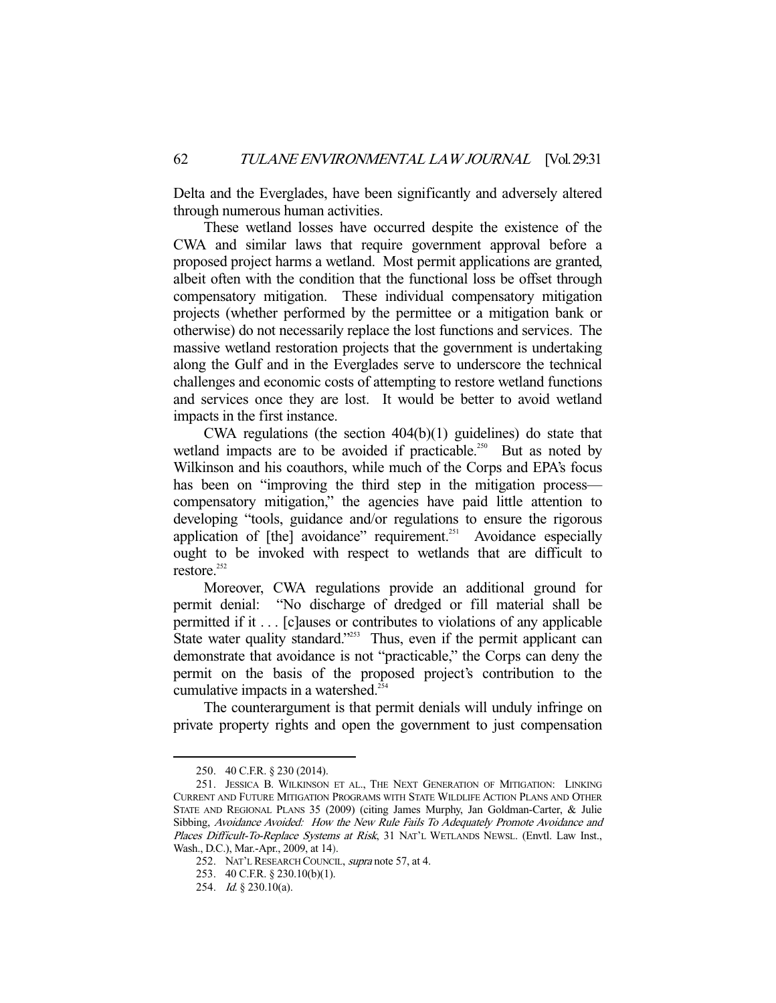Delta and the Everglades, have been significantly and adversely altered through numerous human activities.

 These wetland losses have occurred despite the existence of the CWA and similar laws that require government approval before a proposed project harms a wetland. Most permit applications are granted, albeit often with the condition that the functional loss be offset through compensatory mitigation. These individual compensatory mitigation projects (whether performed by the permittee or a mitigation bank or otherwise) do not necessarily replace the lost functions and services. The massive wetland restoration projects that the government is undertaking along the Gulf and in the Everglades serve to underscore the technical challenges and economic costs of attempting to restore wetland functions and services once they are lost. It would be better to avoid wetland impacts in the first instance.

 CWA regulations (the section 404(b)(1) guidelines) do state that wetland impacts are to be avoided if practicable.<sup>250</sup> But as noted by Wilkinson and his coauthors, while much of the Corps and EPA's focus has been on "improving the third step in the mitigation process compensatory mitigation," the agencies have paid little attention to developing "tools, guidance and/or regulations to ensure the rigorous application of  $[the]$  avoidance" requirement.<sup>251</sup> Avoidance especially ought to be invoked with respect to wetlands that are difficult to restore.<sup>252</sup>

 Moreover, CWA regulations provide an additional ground for permit denial: "No discharge of dredged or fill material shall be permitted if it . . . [c]auses or contributes to violations of any applicable State water quality standard."<sup>253</sup> Thus, even if the permit applicant can demonstrate that avoidance is not "practicable," the Corps can deny the permit on the basis of the proposed project's contribution to the cumulative impacts in a watershed.<sup>254</sup>

 The counterargument is that permit denials will unduly infringe on private property rights and open the government to just compensation

 <sup>250. 40</sup> C.F.R. § 230 (2014).

 <sup>251.</sup> JESSICA B. WILKINSON ET AL., THE NEXT GENERATION OF MITIGATION: LINKING CURRENT AND FUTURE MITIGATION PROGRAMS WITH STATE WILDLIFE ACTION PLANS AND OTHER STATE AND REGIONAL PLANS 35 (2009) (citing James Murphy, Jan Goldman-Carter, & Julie Sibbing, Avoidance Avoided: How the New Rule Fails To Adequately Promote Avoidance and Places Difficult-To-Replace Systems at Risk, 31 NAT'L WETLANDS NEWSL. (Envtl. Law Inst., Wash., D.C.), Mar.-Apr., 2009, at 14).

<sup>252.</sup> NAT'L RESEARCH COUNCIL, supra note 57, at 4.

 <sup>253. 40</sup> C.F.R. § 230.10(b)(1).

 <sup>254.</sup> Id. § 230.10(a).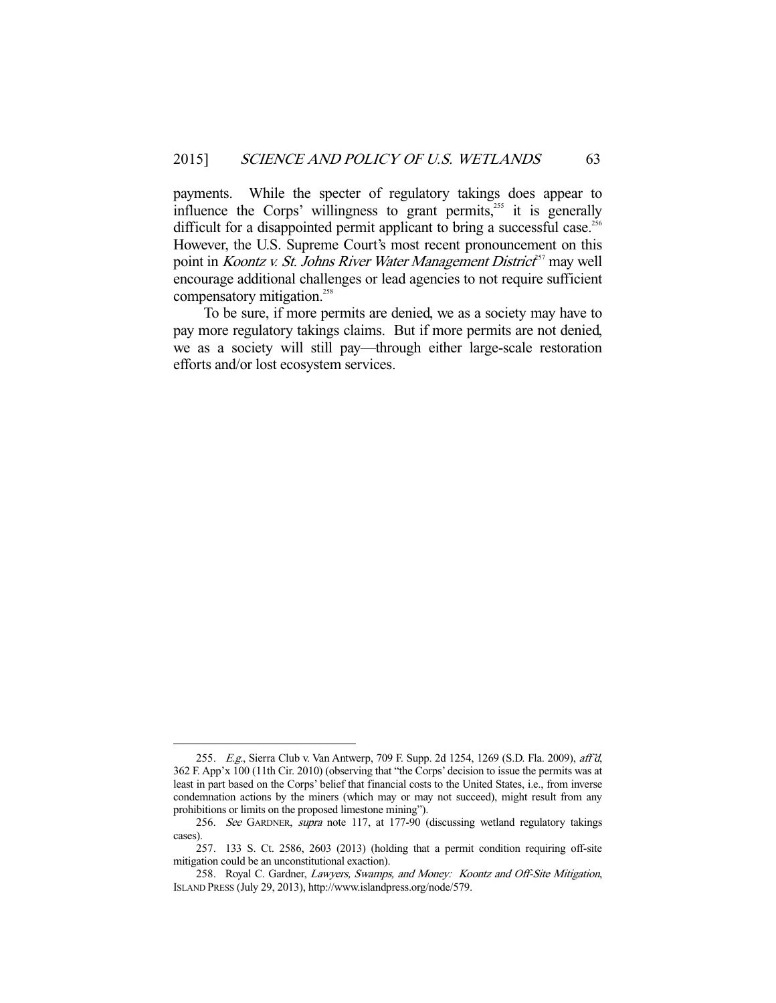payments. While the specter of regulatory takings does appear to influence the Corps' willingness to grant permits, $255$  it is generally difficult for a disappointed permit applicant to bring a successful case.<sup>256</sup> However, the U.S. Supreme Court's most recent pronouncement on this point in *Koontz v. St. Johns River Water Management District*<sup>57</sup> may well encourage additional challenges or lead agencies to not require sufficient compensatory mitigation.<sup>258</sup>

 To be sure, if more permits are denied, we as a society may have to pay more regulatory takings claims. But if more permits are not denied, we as a society will still pay—through either large-scale restoration efforts and/or lost ecosystem services.

<sup>255.</sup> E.g., Sierra Club v. Van Antwerp, 709 F. Supp. 2d 1254, 1269 (S.D. Fla. 2009), aff'd, 362 F. App'x 100 (11th Cir. 2010) (observing that "the Corps' decision to issue the permits was at least in part based on the Corps' belief that financial costs to the United States, i.e., from inverse condemnation actions by the miners (which may or may not succeed), might result from any prohibitions or limits on the proposed limestone mining").

 <sup>256.</sup> See GARDNER, supra note 117, at 177-90 (discussing wetland regulatory takings cases).

 <sup>257. 133</sup> S. Ct. 2586, 2603 (2013) (holding that a permit condition requiring off-site mitigation could be an unconstitutional exaction).

<sup>258.</sup> Royal C. Gardner, Lawyers, Swamps, and Money: Koontz and Off-Site Mitigation, ISLAND PRESS (July 29, 2013), http://www.islandpress.org/node/579.